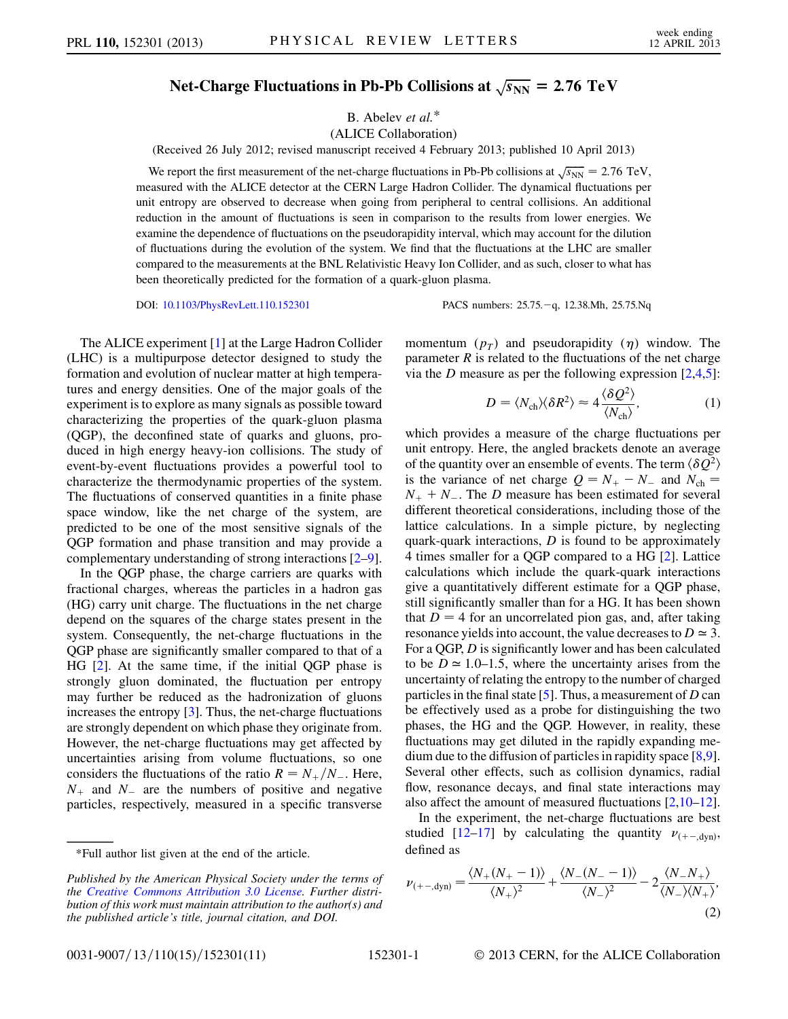## Net-Charge Fluctuations in Pb-Pb Collisions at  $\sqrt{s_\mathrm{NN}} = 2.76 \,\, \mathrm{TeV}$

B. Abelev et  $al^*$ 

(ALICE Collaboration)

(Received 26 July 2012; revised manuscript received 4 February 2013; published 10 April 2013)

We report the first measurement of the net-charge fluctuations in Pb-Pb collisions at  $\sqrt{s_{NN}}$  = 2.76 TeV, measured with the ALICE detector at the CERN Large Hadron Collider. The dynamical fluctuations per unit entropy are observed to decrease when going from peripheral to central collisions. An additional reduction in the amount of fluctuations is seen in comparison to the results from lower energies. We examine the dependence of fluctuations on the pseudorapidity interval, which may account for the dilution of fluctuations during the evolution of the system. We find that the fluctuations at the LHC are smaller compared to the measurements at the BNL Relativistic Heavy Ion Collider, and as such, closer to what has been theoretically predicted for the formation of a quark-gluon plasma.

DOI: [10.1103/PhysRevLett.110.152301](http://dx.doi.org/10.1103/PhysRevLett.110.152301) PACS numbers: 25.75.q, 12.38.Mh, 25.75.Nq

The ALICE experiment [[1\]](#page-4-0) at the Large Hadron Collider (LHC) is a multipurpose detector designed to study the formation and evolution of nuclear matter at high temperatures and energy densities. One of the major goals of the experiment is to explore as many signals as possible toward characterizing the properties of the quark-gluon plasma (QGP), the deconfined state of quarks and gluons, produced in high energy heavy-ion collisions. The study of event-by-event fluctuations provides a powerful tool to characterize the thermodynamic properties of the system. The fluctuations of conserved quantities in a finite phase space window, like the net charge of the system, are predicted to be one of the most sensitive signals of the QGP formation and phase transition and may provide a complementary understanding of strong interactions [\[2–](#page-4-1)[9\]](#page-4-2).

In the QGP phase, the charge carriers are quarks with fractional charges, whereas the particles in a hadron gas (HG) carry unit charge. The fluctuations in the net charge depend on the squares of the charge states present in the system. Consequently, the net-charge fluctuations in the QGP phase are significantly smaller compared to that of a HG [\[2\]](#page-4-1). At the same time, if the initial QGP phase is strongly gluon dominated, the fluctuation per entropy may further be reduced as the hadronization of gluons increases the entropy [\[3](#page-4-3)]. Thus, the net-charge fluctuations are strongly dependent on which phase they originate from. However, the net-charge fluctuations may get affected by uncertainties arising from volume fluctuations, so one considers the fluctuations of the ratio  $R = N_{+}/N_{-}$ . Here,  $N_+$  and  $N_-$  are the numbers of positive and negative particles, respectively, measured in a specific transverse momentum  $(p_T)$  and pseudorapidity  $(\eta)$  window. The parameter  $R$  is related to the fluctuations of the net charge via the *D* measure as per the following expression  $[2,4,5]$  $[2,4,5]$  $[2,4,5]$  $[2,4,5]$ :

$$
D = \langle N_{\rm ch} \rangle \langle \delta R^2 \rangle \approx 4 \frac{\langle \delta Q^2 \rangle}{\langle N_{\rm ch} \rangle},\tag{1}
$$

which provides a measure of the charge fluctuations per unit entropy. Here, the angled brackets denote an average of the quantity over an ensemble of events. The term  $\langle \delta Q^2 \rangle$ is the variance of net charge  $Q = N_{+} - N_{-}$  and  $N_{ch} =$  $N_{+} + N_{-}$ . The D measure has been estimated for several different theoretical considerations, including those of the lattice calculations. In a simple picture, by neglecting quark-quark interactions,  $D$  is found to be approximately 4 times smaller for a QGP compared to a HG [\[2](#page-4-1)]. Lattice calculations which include the quark-quark interactions give a quantitatively different estimate for a QGP phase, still significantly smaller than for a HG. It has been shown that  $D = 4$  for an uncorrelated pion gas, and, after taking resonance yields into account, the value decreases to  $D \approx 3$ . For a QGP, D is significantly lower and has been calculated to be  $D \approx 1.0{\text -}1.5$ , where the uncertainty arises from the uncertainty of relating the entropy to the number of charged particles in the final state  $[5]$  $[5]$ . Thus, a measurement of D can be effectively used as a probe for distinguishing the two phases, the HG and the QGP. However, in reality, these fluctuations may get diluted in the rapidly expanding medium due to the diffusion of particles in rapidity space [[8](#page-4-6),[9\]](#page-4-2). Several other effects, such as collision dynamics, radial flow, resonance decays, and final state interactions may also affect the amount of measured fluctuations [\[2](#page-4-1),[10](#page-4-7)–[12\]](#page-5-0).

In the experiment, the net-charge fluctuations are best studied [\[12–](#page-5-0)[17](#page-5-1)] by calculating the quantity  $v_{(+-,\text{dyn})}$ , defined as

<span id="page-0-0"></span>
$$
\nu_{(+-,\text{dyn})} = \frac{\langle N_+(N_+-1)\rangle}{\langle N_+\rangle^2} + \frac{\langle N_-(N_--1)\rangle}{\langle N_-\rangle^2} - 2\frac{\langle N_-N_+\rangle}{\langle N_-\rangle\langle N_+\rangle},\tag{2}
$$

<sup>\*</sup>Full author list given at the end of the article.

Published by the American Physical Society under the terms of the [Creative Commons Attribution 3.0 License.](http://creativecommons.org/licenses/by/3.0/) Further distribution of this work must maintain attribution to the author(s) and the published article's title, journal citation, and DOI.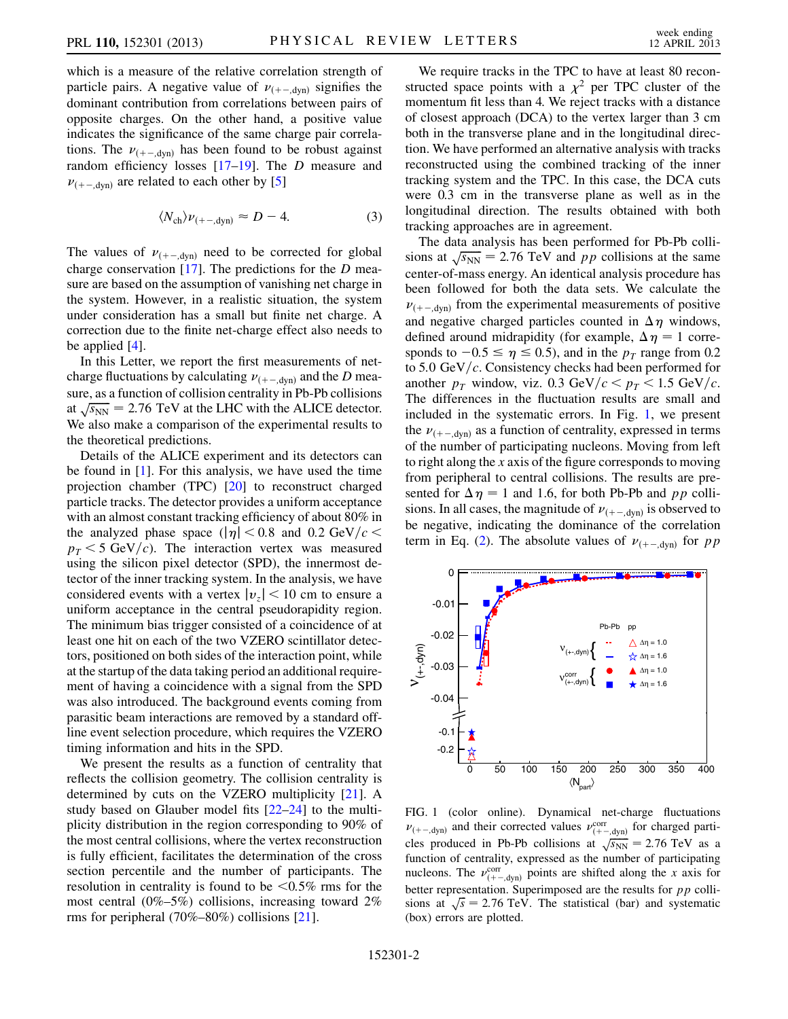which is a measure of the relative correlation strength of particle pairs. A negative value of  $\nu_{(+-,dyn)}$  signifies the dominant contribution from correlations between pairs of opposite charges. On the other hand, a positive value indicates the significance of the same charge pair correlations. The  $\nu_{(+-,dyn)}$  has been found to be robust against random efficiency losses  $[17–19]$  $[17–19]$  $[17–19]$ . The *D* measure and  $\nu_{(+-,\text{dyn})}$  are related to each other by [[5](#page-4-5)]

$$
\langle N_{\rm ch} \rangle \nu_{(+-, \rm dyn)} \approx D - 4. \tag{3}
$$

The values of  $\nu_{(+-,dyn)}$  need to be corrected for global charge conservation  $[17]$ . The predictions for the D measure are based on the assumption of vanishing net charge in the system. However, in a realistic situation, the system under consideration has a small but finite net charge. A correction due to the finite net-charge effect also needs to be applied [\[4\]](#page-4-4).

In this Letter, we report the first measurements of netcharge fluctuations by calculating  $\nu_{(+,-,dyn)}$  and the D measure, as a function of collision centrality in Pb-Pb collisions sure, as a function of collision centrality in Pb-Pb collisions<br>at  $\sqrt{s_{NN}}$  = 2.76 TeV at the LHC with the ALICE detector. We also make a comparison of the experimental results to the theoretical predictions.

Details of the ALICE experiment and its detectors can be found in [[1\]](#page-4-0). For this analysis, we have used the time projection chamber (TPC) [[20](#page-5-3)] to reconstruct charged particle tracks. The detector provides a uniform acceptance with an almost constant tracking efficiency of about 80% in the analyzed phase space  $(|\eta| < 0.8$  and 0.2 GeV/c  $<$  $p_T < 5$  GeV/c). The interaction vertex was measured using the silicon pixel detector (SPD), the innermost detector of the inner tracking system. In the analysis, we have considered events with a vertex  $|v_z|$  < 10 cm to ensure a uniform acceptance in the central pseudorapidity region. The minimum bias trigger consisted of a coincidence of at least one hit on each of the two VZERO scintillator detectors, positioned on both sides of the interaction point, while at the startup of the data taking period an additional requirement of having a coincidence with a signal from the SPD was also introduced. The background events coming from parasitic beam interactions are removed by a standard offline event selection procedure, which requires the VZERO timing information and hits in the SPD.

We present the results as a function of centrality that reflects the collision geometry. The collision centrality is determined by cuts on the VZERO multiplicity [\[21\]](#page-5-4). A study based on Glauber model fits [[22](#page-5-5)–[24\]](#page-5-6) to the multiplicity distribution in the region corresponding to 90% of the most central collisions, where the vertex reconstruction is fully efficient, facilitates the determination of the cross section percentile and the number of participants. The resolution in centrality is found to be  $\leq 0.5\%$  rms for the most central  $(0\%-5\%)$  collisions, increasing toward 2\% rms for peripheral (70%–80%) collisions [[21](#page-5-4)].

We require tracks in the TPC to have at least 80 reconstructed space points with a  $\chi^2$  per TPC cluster of the momentum fit less than 4. We reject tracks with a distance of closest approach (DCA) to the vertex larger than 3 cm both in the transverse plane and in the longitudinal direction. We have performed an alternative analysis with tracks reconstructed using the combined tracking of the inner tracking system and the TPC. In this case, the DCA cuts were 0.3 cm in the transverse plane as well as in the longitudinal direction. The results obtained with both tracking approaches are in agreement.

The data analysis has been performed for Pb-Pb colli-The data analysis has been performed for Pb-Pb collisions at  $\sqrt{s_{NN}}$  = 2.76 TeV and pp collisions at the same center-of-mass energy. An identical analysis procedure has been followed for both the data sets. We calculate the  $\nu_{(+-,\text{dyn})}$  from the experimental measurements of positive and negative charged particles counted in  $\Delta \eta$  windows, defined around midrapidity (for example,  $\Delta \eta = 1$  corresponds to  $-0.5 \le \eta \le 0.5$ , and in the  $p_T$  range from 0.2 to 5.0 GeV/ $c$ . Consistency checks had been performed for another  $p_T$  window, viz. 0.3 GeV/ $c < p_T < 1.5$  GeV/ $c$ . The differences in the fluctuation results are small and included in the systematic errors. In Fig. [1,](#page-1-0) we present the  $\nu_{(+-,\text{dyn})}$  as a function of centrality, expressed in terms of the number of participating nucleons. Moving from left to right along the x axis of the figure corresponds to moving from peripheral to central collisions. The results are presented for  $\Delta \eta = 1$  and 1.6, for both Pb-Pb and pp collisions. In all cases, the magnitude of  $\nu_{(+-,\text{dyn})}$  is observed to be negative, indicating the dominance of the correlation term in Eq. [\(2\)](#page-0-0). The absolute values of  $\nu_{(+-,\text{dyn})}$  for pp

<span id="page-1-0"></span>

FIG. 1 (color online). Dynamical net-charge fluctuations  $\nu_{(+-,\text{dyn})}$  and their corrected values  $\nu_{(+-,\text{dyn})}^{\text{corr}}$  for charged parti $v_{(+-,dyn)}$  and then corrected values  $v_{(+-,dyn)}$  for enarged particles produced in Pb-Pb collisions at  $\sqrt{s_{NN}} = 2.76$  TeV as a function of centrality, expressed as the number of participating nucleons. The  $\nu_{(+-,\text{dyn})}^{\text{corr}}$  points are shifted along the x axis for better representation. Superimposed are the results for  $p p$  collibetter representation. Superimposed are the results for *p p* collisions at  $\sqrt{s} = 2.76$  TeV. The statistical (bar) and systematic (box) errors are plotted.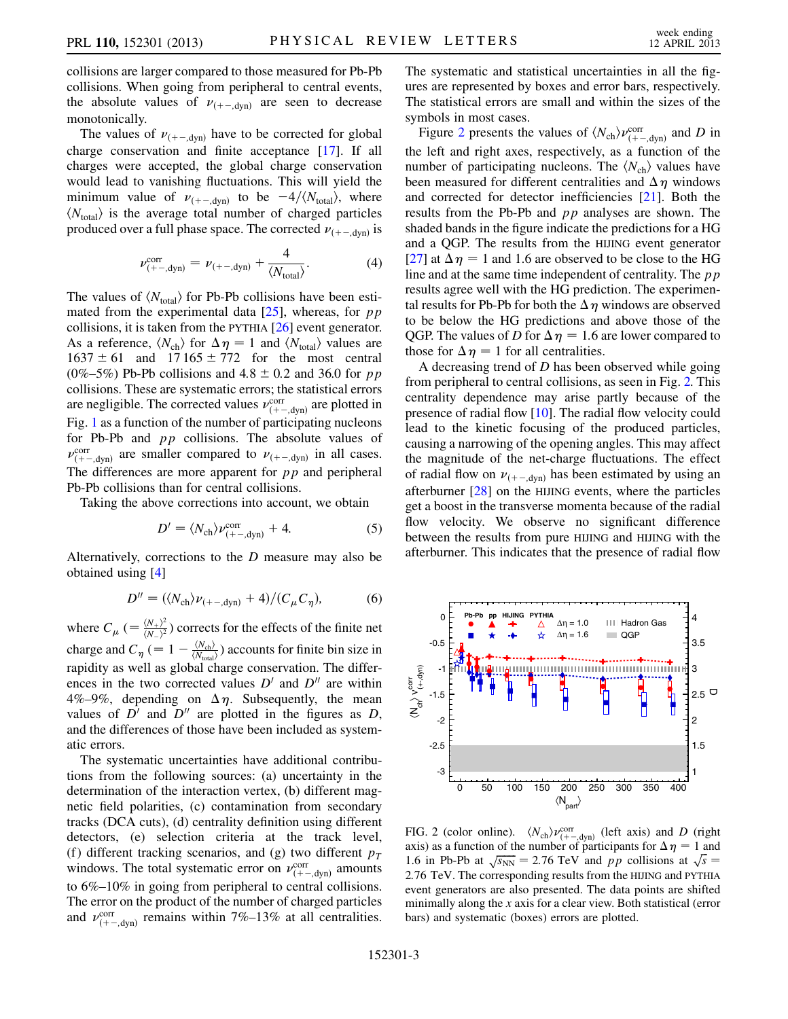collisions are larger compared to those measured for Pb-Pb collisions. When going from peripheral to central events, the absolute values of  $\nu_{(+-,dyn)}$  are seen to decrease monotonically.

The values of  $\nu_{(+-,\text{dyn})}$  have to be corrected for global charge conservation and finite acceptance [[17\]](#page-5-1). If all charges were accepted, the global charge conservation would lead to vanishing fluctuations. This will yield the minimum value of  $\nu_{(+-,\text{dyn})}$  to be  $-4/\langle N_{\text{total}}\rangle$ , where  $\langle N_{\text{total}} \rangle$  is the average total number of charged particles produced over a full phase space. The corrected  $\nu_{(+-,dyn)}$  is

$$
\nu_{(+-,dyn)}^{corr} = \nu_{(+-,dyn)} + \frac{4}{\langle N_{total} \rangle}.\tag{4}
$$

The values of  $\langle N_{\text{total}} \rangle$  for Pb-Pb collisions have been estimated from the experimental data  $[25]$ , whereas, for pp collisions, it is taken from the PYTHIA [\[26\]](#page-5-8) event generator. As a reference,  $\langle N_{ch} \rangle$  for  $\Delta \eta = 1$  and  $\langle N_{total} \rangle$  values are  $1637 \pm 61$  and  $17165 \pm 772$  for the most central (0%–5%) Pb-Pb collisions and  $4.8 \pm 0.2$  and 36.0 for pp collisions. These are systematic errors; the statistical errors are negligible. The corrected values  $v_{(+-,dyn)}^{\text{corr}}$  are plotted in Fig. [1](#page-1-0) as a function of the number of participating nucleons for Pb-Pb and  $pp$  collisions. The absolute values of  $\nu_{(+-,dyn)}^{\text{corr}}$  are smaller compared to  $\nu_{(+-,dyn)}$  in all cases. The differences are more apparent for  $pp$  and peripheral Pb-Pb collisions than for central collisions.

Taking the above corrections into account, we obtain

$$
D' = \langle N_{\rm ch} \rangle \nu_{(+-,\,\mathrm{dyn})}^{\rm corr} + 4. \tag{5}
$$

Alternatively, corrections to the  $D$  measure may also be obtained using [\[4\]](#page-4-4)

$$
D'' = (\langle N_{\rm ch} \rangle \nu_{(+-,\rm dyn)} + 4)/(C_{\mu} C_{\eta}), \tag{6}
$$

where  $C_{\mu}$  ( $=\frac{\langle N_{+}\rangle^2}{\langle N_{-}\rangle^2}$  $\frac{(N+1)^2}{(N-1)^2}$  corrects for the effects of the finite net charge and  $C_{\eta}$  (= 1 -  $\frac{\langle N_{\text{ch}} \rangle}{\langle N_{\text{total}} \rangle}$ ) accounts for finite bin size in rapidity as well as global charge conservation. The differences in the two corrected values  $D'$  and  $D''$  are within 4%–9%, depending on  $\Delta \eta$ . Subsequently, the mean values of  $D'$  and  $D''$  are plotted in the figures as D, and the differences of those have been included as systematic errors.

The systematic uncertainties have additional contributions from the following sources: (a) uncertainty in the determination of the interaction vertex, (b) different magnetic field polarities, (c) contamination from secondary tracks (DCA cuts), (d) centrality definition using different detectors, (e) selection criteria at the track level, (f) different tracking scenarios, and (g) two different  $p_T$ windows. The total systematic error on  $\nu_{(+-,\text{dyn})}^{\text{corr}}$  amounts to 6%–10% in going from peripheral to central collisions. The error on the product of the number of charged particles and  $\nu_{(+-,{\rm dyn})}^{\rm corr}$  remains within 7%–13% at all centralities. The systematic and statistical uncertainties in all the figures are represented by boxes and error bars, respectively. The statistical errors are small and within the sizes of the symbols in most cases.

Figure [2](#page-2-0) presents the values of  $\langle N_{ch} \rangle \nu_{(+-, dyn)}^{\text{corr}}$  and D in the left and right axes, respectively, as a function of the number of participating nucleons. The  $\langle N_{ch} \rangle$  values have been measured for different centralities and  $\Delta \eta$  windows and corrected for detector inefficiencies [\[21\]](#page-5-4). Both the results from the Pb-Pb and pp analyses are shown. The shaded bands in the figure indicate the predictions for a HG and a QGP. The results from the HIJING event generator [\[27\]](#page-5-9) at  $\Delta \eta = 1$  and 1.6 are observed to be close to the HG line and at the same time independent of centrality. The  $p p$ results agree well with the HG prediction. The experimental results for Pb-Pb for both the  $\Delta \eta$  windows are observed to be below the HG predictions and above those of the QGP. The values of D for  $\Delta \eta = 1.6$  are lower compared to those for  $\Delta \eta = 1$  for all centralities.

A decreasing trend of  $D$  has been observed while going from peripheral to central collisions, as seen in Fig. [2.](#page-2-0) This centrality dependence may arise partly because of the presence of radial flow [[10](#page-4-7)]. The radial flow velocity could lead to the kinetic focusing of the produced particles, causing a narrowing of the opening angles. This may affect the magnitude of the net-charge fluctuations. The effect of radial flow on  $\nu_{(+-,\text{dyn})}$  has been estimated by using an afterburner [\[28\]](#page-5-10) on the HIJING events, where the particles get a boost in the transverse momenta because of the radial flow velocity. We observe no significant difference between the results from pure HIJING and HIJING with the afterburner. This indicates that the presence of radial flow

<span id="page-2-0"></span>

FIG. 2 (color online).  $\langle N_{ch} \rangle \nu_{(+-,dyn)}^{corr}$  (left axis) and D (right axis) as a function of the number of participants for  $\Delta \eta = 1$  and axis) as a function of the number of participants for  $\Delta \eta = 1$  and 1.6 in Pb-Pb at  $\sqrt{s_{NN}} = 2.76$  TeV and pp collisions at  $\sqrt{s} =$ 2:76 TeV. The corresponding results from the HIJING and PYTHIA event generators are also presented. The data points are shifted minimally along the  $x$  axis for a clear view. Both statistical (error bars) and systematic (boxes) errors are plotted.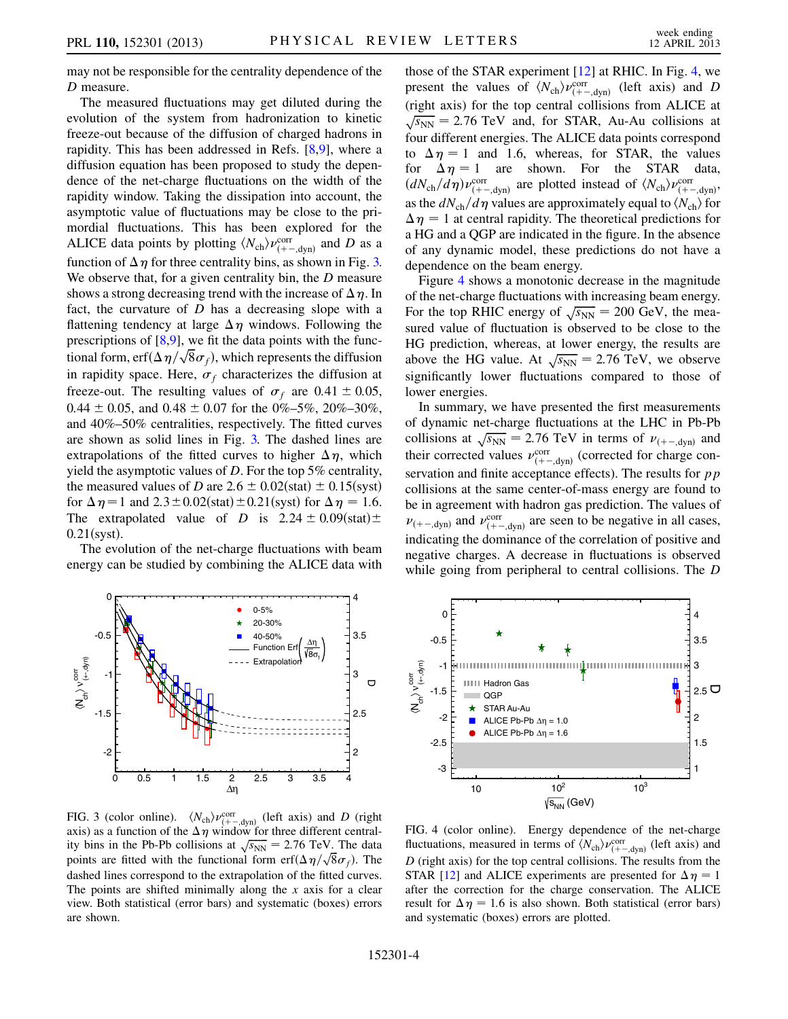may not be responsible for the centrality dependence of the D measure.

The measured fluctuations may get diluted during the evolution of the system from hadronization to kinetic freeze-out because of the diffusion of charged hadrons in rapidity. This has been addressed in Refs. [\[8](#page-4-6),[9](#page-4-2)], where a diffusion equation has been proposed to study the dependence of the net-charge fluctuations on the width of the rapidity window. Taking the dissipation into account, the asymptotic value of fluctuations may be close to the primordial fluctuations. This has been explored for the ALICE data points by plotting  $\langle N_{ch} \rangle \nu_{(+-,{\rm dyn})}^{\rm corr}$  and D as a function of  $\Delta \eta$  for three centrality bins, as shown in Fig. [3.](#page-3-0) We observe that, for a given centrality bin, the D measure shows a strong decreasing trend with the increase of  $\Delta \eta$ . In fact, the curvature of  $D$  has a decreasing slope with a flattening tendency at large  $\Delta \eta$  windows. Following the prescriptions of  $[8,9]$  $[8,9]$  $[8,9]$  $[8,9]$ , we fit the data points with the funcprescriptions of [8,9], we fit the data points with the functional form,  $erf(\Delta \eta/\sqrt{8}\sigma_f)$ , which represents the diffusion in rapidity space. Here,  $\sigma_f$  characterizes the diffusion at freeze-out. The resulting values of  $\sigma_f$  are 0.41  $\pm$  0.05,  $0.44 \pm 0.05$ , and  $0.48 \pm 0.07$  for the  $0\% - 5\%$ ,  $20\% - 30\%$ , and 40%–50% centralities, respectively. The fitted curves are shown as solid lines in Fig. [3.](#page-3-0) The dashed lines are extrapolations of the fitted curves to higher  $\Delta \eta$ , which yield the asymptotic values of D. For the top 5% centrality, the measured values of D are  $2.6 \pm 0.02$ (stat)  $\pm 0.15$ (syst) for  $\Delta \eta = 1$  and  $2.3 \pm 0.02$ (stat)  $\pm 0.21$ (syst) for  $\Delta \eta = 1.6$ . The extrapolated value of D is  $2.24 \pm 0.09$ (stat) $\pm$  $0.21$ (syst).

The evolution of the net-charge fluctuations with beam energy can be studied by combining the ALICE data with those of the STAR experiment [[12](#page-5-0)] at RHIC. In Fig. [4](#page-3-1), we present the values of  $\langle N_{\text{ch}} \rangle \nu_{(+-,\text{dyn})}^{\text{corr}}$  (left axis) and D (right axis) for the top central collisions from ALICE at  $\sqrt{s_{NN}}$  = 2.76 TeV and, for STAR, Au-Au collisions at four different energies. The ALICE data points correspond to  $\Delta \eta = 1$  and 1.6, whereas, for STAR, the values<br>for  $\Delta \eta = 1$  are shown. For the STAR data, are shown. For the STAR data,  $\left(dN_{\text{ch}}/d\eta\right)\nu_{\left(+-, \text{dyn}\right)}^{\text{corr}}$  are plotted instead of  $\left\langle N_{\text{ch}}\right\rangle \nu_{\left(+-, \text{dyn}\right)}^{\text{corr}},$ as the  $dN_{\rm ch}/d\eta$  values are approximately equal to  $\langle N_{\rm ch} \rangle$  for  $\Delta \eta = 1$  at central rapidity. The theoretical predictions for a HG and a QGP are indicated in the figure. In the absence of any dynamic model, these predictions do not have a dependence on the beam energy.

Figure [4](#page-3-1) shows a monotonic decrease in the magnitude of the net-charge fluctuations with increasing beam energy. For the top RHIC energy of  $\sqrt{s_{NN}}$  = 200 GeV, the measured value of fluctuation is observed to be close to the HG prediction, whereas, at lower energy, the results are HG prediction, whereas, at lower energy, the results are above the HG value. At  $\sqrt{s_{NN}}$  = 2.76 TeV, we observe significantly lower fluctuations compared to those of lower energies.

In summary, we have presented the first measurements of dynamic net-charge fluctuations at the LHC in Pb-Pb or dynamic net-charge fluctuations at the LHC in Pb-Pb collisions at  $\sqrt{s_{NN}}$  = 2.76 TeV in terms of  $\nu_{(+-,dyn)}$  and their corrected values  $\nu_{(+-,\text{dyn})}^{\text{corr}}$  (corrected for charge conservation and finite acceptance effects). The results for  $pp$ collisions at the same center-of-mass energy are found to be in agreement with hadron gas prediction. The values of  $\nu_{(+-,\text{dyn})}$  and  $\nu_{(+-,\text{dyn})}^{\text{corr}}$  are seen to be negative in all cases, indicating the dominance of the correlation of positive and negative charges. A decrease in fluctuations is observed while going from peripheral to central collisions. The D

<span id="page-3-0"></span>

FIG. 3 (color online).  $\langle N_{ch} \rangle \nu_{(+-,dyn)}^{corr}$  (left axis) and D (right axis) as a function of the  $\Delta \eta$  window for three different centralaxis) as a function of the  $\Delta \eta$  window for three different centrality bins in the Pb-Pb collisions at  $\sqrt{s_{NN}}$  = 2.76 TeV. The data ity bins in the Pb-Pb collisions at  $\sqrt{s_{NN}} = 2.76 \text{ TeV}$ . The data points are fitted with the functional form  $\text{erf}(\Delta \eta / \sqrt{8} \sigma_f)$ . The dashed lines correspond to the extrapolation of the fitted curves. The points are shifted minimally along the  $x$  axis for a clear view. Both statistical (error bars) and systematic (boxes) errors are shown.

<span id="page-3-1"></span>

FIG. 4 (color online). Energy dependence of the net-charge fluctuations, measured in terms of  $\langle N_{ch} \rangle \nu_{(+-,dyn)}^{\text{corr}}$  (left axis) and  $D$  (right axis) for the top central collisions. The results from the STAR [[12](#page-5-0)] and ALICE experiments are presented for  $\Delta \eta = 1$ after the correction for the charge conservation. The ALICE result for  $\Delta \eta = 1.6$  is also shown. Both statistical (error bars) and systematic (boxes) errors are plotted.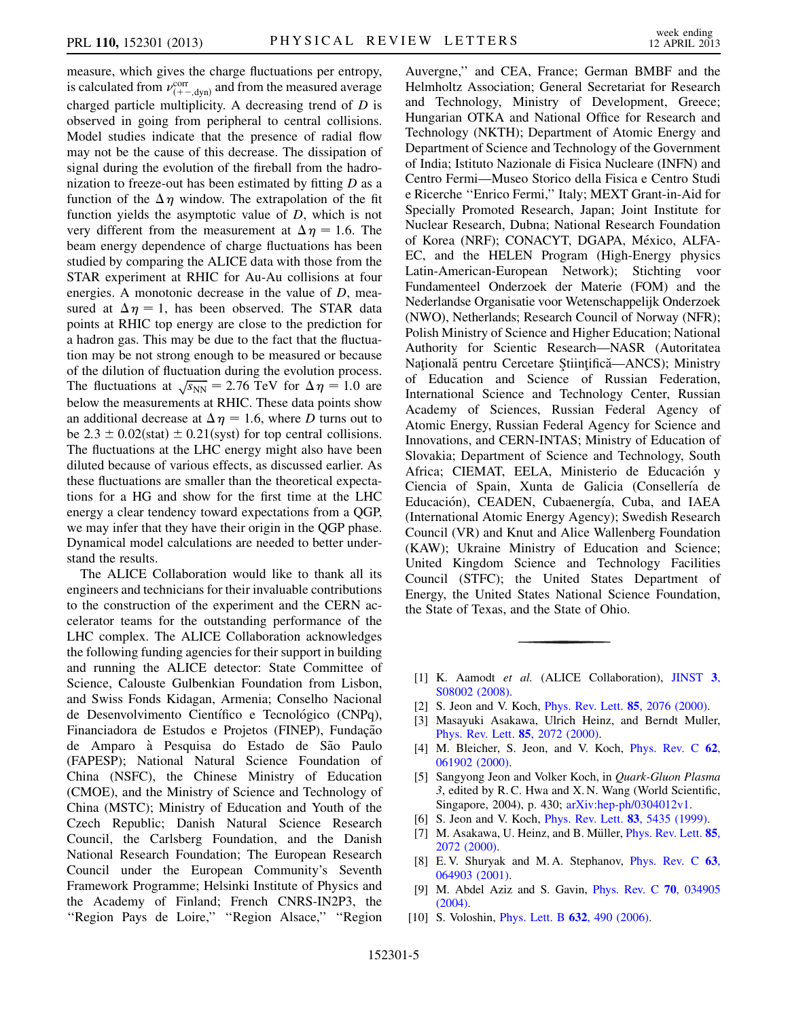measure, which gives the charge fluctuations per entropy, is calculated from  $v_{(+-,\text{dyn})}^{\text{corr}}$  and from the measured average charged particle multiplicity. A decreasing trend of D is observed in going from peripheral to central collisions. Model studies indicate that the presence of radial flow may not be the cause of this decrease. The dissipation of signal during the evolution of the fireball from the hadronization to freeze-out has been estimated by fitting  $D$  as a function of the  $\Delta \eta$  window. The extrapolation of the fit function yields the asymptotic value of D, which is not very different from the measurement at  $\Delta \eta = 1.6$ . The beam energy dependence of charge fluctuations has been studied by comparing the ALICE data with those from the STAR experiment at RHIC for Au-Au collisions at four energies. A monotonic decrease in the value of D, measured at  $\Delta \eta = 1$ , has been observed. The STAR data points at RHIC top energy are close to the prediction for a hadron gas. This may be due to the fact that the fluctuation may be not strong enough to be measured or because of the dilution of fluctuation during the evolution process. or the diffulution of fluctuation during the evolution process.<br>The fluctuations at  $\sqrt{s_{NN}}$  = 2.76 TeV for  $\Delta \eta$  = 1.0 are below the measurements at RHIC. These data points show an additional decrease at  $\Delta \eta = 1.6$ , where D turns out to be  $2.3 \pm 0.02$ (stat)  $\pm 0.21$ (syst) for top central collisions. The fluctuations at the LHC energy might also have been diluted because of various effects, as discussed earlier. As these fluctuations are smaller than the theoretical expectations for a HG and show for the first time at the LHC energy a clear tendency toward expectations from a QGP, we may infer that they have their origin in the QGP phase. Dynamical model calculations are needed to better understand the results.

The ALICE Collaboration would like to thank all its engineers and technicians for their invaluable contributions to the construction of the experiment and the CERN accelerator teams for the outstanding performance of the LHC complex. The ALICE Collaboration acknowledges the following funding agencies for their support in building and running the ALICE detector: State Committee of Science, Calouste Gulbenkian Foundation from Lisbon, and Swiss Fonds Kidagan, Armenia; Conselho Nacional de Desenvolvimento Científico e Tecnológico (CNPq), Financiadora de Estudos e Projetos (FINEP), Fundação de Amparo à Pesquisa do Estado de São Paulo (FAPESP); National Natural Science Foundation of China (NSFC), the Chinese Ministry of Education (CMOE), and the Ministry of Science and Technology of China (MSTC); Ministry of Education and Youth of the Czech Republic; Danish Natural Science Research Council, the Carlsberg Foundation, and the Danish National Research Foundation; The European Research Council under the European Community's Seventh Framework Programme; Helsinki Institute of Physics and the Academy of Finland; French CNRS-IN2P3, the ''Region Pays de Loire,'' ''Region Alsace,'' ''Region Auvergne,'' and CEA, France; German BMBF and the Helmholtz Association; General Secretariat for Research and Technology, Ministry of Development, Greece; Hungarian OTKA and National Office for Research and Technology (NKTH); Department of Atomic Energy and Department of Science and Technology of the Government of India; Istituto Nazionale di Fisica Nucleare (INFN) and Centro Fermi—Museo Storico della Fisica e Centro Studi e Ricerche ''Enrico Fermi,'' Italy; MEXT Grant-in-Aid for Specially Promoted Research, Japan; Joint Institute for Nuclear Research, Dubna; National Research Foundation of Korea (NRF); CONACYT, DGAPA, México, ALFA-EC, and the HELEN Program (High-Energy physics Latin-American-European Network); Stichting voor Fundamenteel Onderzoek der Materie (FOM) and the Nederlandse Organisatie voor Wetenschappelijk Onderzoek (NWO), Netherlands; Research Council of Norway (NFR); Polish Ministry of Science and Higher Education; National Authority for Scientic Research—NASR (Autoritatea Natională pentru Cercetare Științifică—ANCS); Ministry of Education and Science of Russian Federation, International Science and Technology Center, Russian Academy of Sciences, Russian Federal Agency of Atomic Energy, Russian Federal Agency for Science and Innovations, and CERN-INTAS; Ministry of Education of Slovakia; Department of Science and Technology, South Africa; CIEMAT, EELA, Ministerio de Educación y Ciencia of Spain, Xunta de Galicia (Consellería de Educación), CEADEN, Cubaenergía, Cuba, and IAEA (International Atomic Energy Agency); Swedish Research Council (VR) and Knut and Alice Wallenberg Foundation (KAW); Ukraine Ministry of Education and Science; United Kingdom Science and Technology Facilities Council (STFC); the United States Department of Energy, the United States National Science Foundation, the State of Texas, and the State of Ohio.

- <span id="page-4-1"></span><span id="page-4-0"></span>[1] K. Aamodt et al. (ALICE Collaboration), [JINST](http://dx.doi.org/10.1088/1748-0221/3/08/S08002) 3, [S08002 \(2008\).](http://dx.doi.org/10.1088/1748-0221/3/08/S08002)
- <span id="page-4-3"></span>[2] S. Jeon and V. Koch, *[Phys. Rev. Lett.](http://dx.doi.org/10.1103/PhysRevLett.85.2076)* **85**, 2076 (2000).
- <span id="page-4-4"></span>[3] Masayuki Asakawa, Ulrich Heinz, and Berndt Muller, [Phys. Rev. Lett.](http://dx.doi.org/10.1103/PhysRevLett.85.2072) 85, 2072 (2000).
- <span id="page-4-5"></span>[4] M. Bleicher, S. Jeon, and V. Koch, *[Phys. Rev. C](http://dx.doi.org/10.1103/PhysRevC.62.061902)* 62, [061902 \(2000\).](http://dx.doi.org/10.1103/PhysRevC.62.061902)
- [5] Sangyong Jeon and Volker Koch, in Quark-Gluon Plasma 3, edited by R. C. Hwa and X. N. Wang (World Scientific, Singapore, 2004), p. 430; [arXiv:hep-ph/0304012v1.](http://arXiv.org/abs/hep-ph/0304012v1)
- [6] S. Jeon and V. Koch, *[Phys. Rev. Lett.](http://dx.doi.org/10.1103/PhysRevLett.83.5435)* **83**, 5435 (1999).
- <span id="page-4-6"></span>[7] M. Asakawa, U. Heinz, and B. Müller, *[Phys. Rev. Lett.](http://dx.doi.org/10.1103/PhysRevLett.85.2072)* 85, [2072 \(2000\)](http://dx.doi.org/10.1103/PhysRevLett.85.2072).
- <span id="page-4-2"></span>[8] E.V. Shuryak and M.A. Stephanov, [Phys. Rev. C](http://dx.doi.org/10.1103/PhysRevC.63.064903) 63, [064903 \(2001\).](http://dx.doi.org/10.1103/PhysRevC.63.064903)
- <span id="page-4-7"></span>[9] M. Abdel Aziz and S. Gavin, [Phys. Rev. C](http://dx.doi.org/10.1103/PhysRevC.70.034905) 70, 034905 [\(2004\).](http://dx.doi.org/10.1103/PhysRevC.70.034905)
- [10] S. Voloshin, *[Phys. Lett. B](http://dx.doi.org/10.1016/j.physletb.2005.11.024)* **632**, 490 (2006).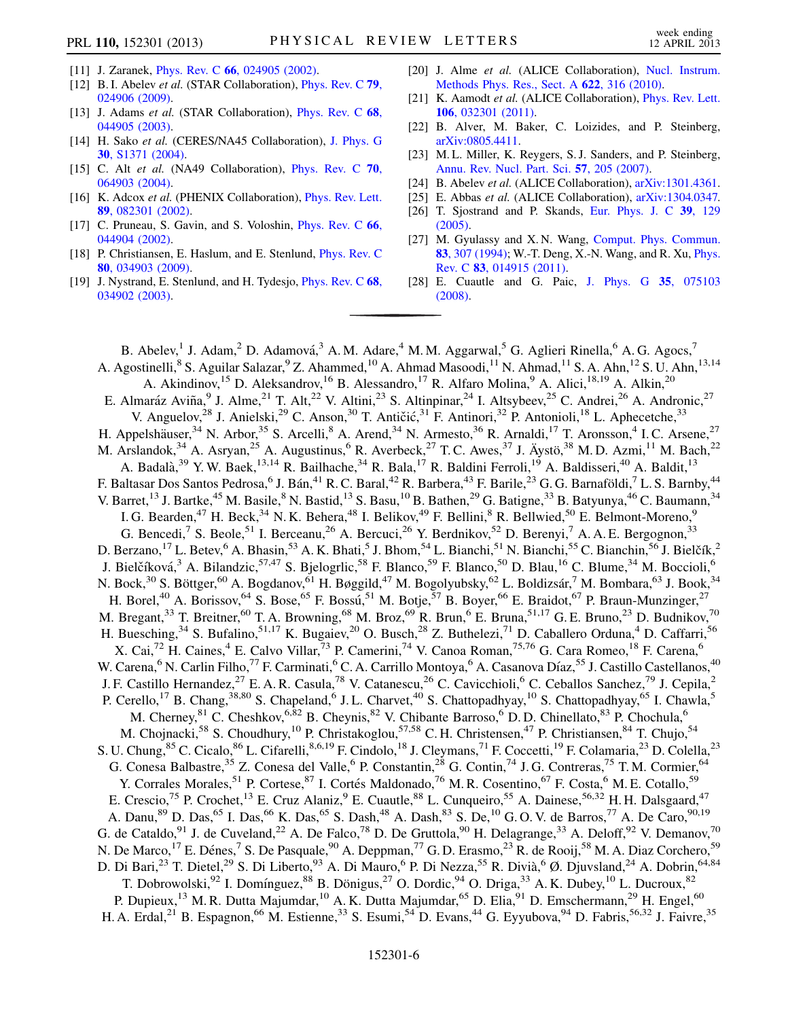- [11] J. Zaranek, *Phys. Rev. C* **66**[, 024905 \(2002\).](http://dx.doi.org/10.1103/PhysRevC.66.024905)
- <span id="page-5-0"></span>[12] B. I. Abelev et al. (STAR Collaboration), *[Phys. Rev. C](http://dx.doi.org/10.1103/PhysRevC.79.024906)* 79, [024906 \(2009\)](http://dx.doi.org/10.1103/PhysRevC.79.024906).
- [13] J. Adams et al. (STAR Collaboration), *[Phys. Rev. C](http://dx.doi.org/10.1103/PhysRevC.68.044905)* 68, [044905 \(2003\)](http://dx.doi.org/10.1103/PhysRevC.68.044905).
- [14] H. Sako et al. (CERES/NA45 Collaboration), [J. Phys. G](http://dx.doi.org/10.1088/0954-3899/30/8/130) 30[, S1371 \(2004\)](http://dx.doi.org/10.1088/0954-3899/30/8/130).
- [15] C. Alt et al. (NA49 Collaboration), [Phys. Rev. C](http://dx.doi.org/10.1103/PhysRevC.70.064903) 70, [064903 \(2004\)](http://dx.doi.org/10.1103/PhysRevC.70.064903).
- [16] K. Adcox et al. (PHENIX Collaboration), [Phys. Rev. Lett.](http://dx.doi.org/10.1103/PhysRevLett.89.082301) 89[, 082301 \(2002\)](http://dx.doi.org/10.1103/PhysRevLett.89.082301).
- <span id="page-5-1"></span>[17] C. Pruneau, S. Gavin, and S. Voloshin, *[Phys. Rev. C](http://dx.doi.org/10.1103/PhysRevC.66.044904)* 66, [044904 \(2002\)](http://dx.doi.org/10.1103/PhysRevC.66.044904).
- [18] P. Christiansen, E. Haslum, and E. Stenlund, [Phys. Rev. C](http://dx.doi.org/10.1103/PhysRevC.80.034903) 80[, 034903 \(2009\)](http://dx.doi.org/10.1103/PhysRevC.80.034903).
- <span id="page-5-2"></span>[19] J. Nystrand, E. Stenlund, and H. Tydesjo, *[Phys. Rev. C](http://dx.doi.org/10.1103/PhysRevC.68.034902)* 68, [034902 \(2003\)](http://dx.doi.org/10.1103/PhysRevC.68.034902).
- <span id="page-5-3"></span>[20] J. Alme et al. (ALICE Collaboration), [Nucl. Instrum.](http://dx.doi.org/10.1016/j.nima.2010.04.042) [Methods Phys. Res., Sect. A](http://dx.doi.org/10.1016/j.nima.2010.04.042) 622, 316 (2010).
- <span id="page-5-4"></span>[21] K. Aamodt et al. (ALICE Collaboration), *[Phys. Rev. Lett.](http://dx.doi.org/10.1103/PhysRevLett.106.032301)* 106[, 032301 \(2011\)](http://dx.doi.org/10.1103/PhysRevLett.106.032301).
- <span id="page-5-5"></span>[22] B. Alver, M. Baker, C. Loizides, and P. Steinberg, [arXiv:0805.4411.](http://arXiv.org/abs/0805.4411)
- [23] M. L. Miller, K. Reygers, S. J. Sanders, and P. Steinberg, [Annu. Rev. Nucl. Part. Sci.](http://dx.doi.org/10.1146/annurev.nucl.57.090506.123020) 57, 205 (2007).
- <span id="page-5-6"></span>[24] B. Abelev et al. (ALICE Collaboration),  $arXiv:1301.4361$ .
- <span id="page-5-7"></span>[25] E. Abbas et al. (ALICE Collaboration),  $arXiv:1304.0347$ .
- <span id="page-5-8"></span>[26] T. Sjostrand and P. Skands, [Eur. Phys. J. C](http://dx.doi.org/10.1140/epjc/s2004-02084-y) 39, 129 [\(2005\)](http://dx.doi.org/10.1140/epjc/s2004-02084-y).
- <span id="page-5-9"></span>[27] M. Gyulassy and X.N. Wang, [Comput. Phys. Commun.](http://dx.doi.org/10.1016/0010-4655(94)90057-4) 83[, 307 \(1994\)](http://dx.doi.org/10.1016/0010-4655(94)90057-4); W.-T. Deng, X.-N. Wang, and R. Xu, [Phys.](http://dx.doi.org/10.1103/PhysRevC.83.014915) Rev. C 83[, 014915 \(2011\).](http://dx.doi.org/10.1103/PhysRevC.83.014915)
- <span id="page-5-10"></span>[28] E. Cuautle and G. Paic, [J. Phys. G](http://dx.doi.org/10.1088/0954-3899/35/7/075103) 35, 075103 [\(2008\)](http://dx.doi.org/10.1088/0954-3899/35/7/075103).

B. Abelev,<sup>1</sup> J. Adam,<sup>2</sup> D. Adamová,<sup>3</sup> A. M. Adare,<sup>4</sup> M. M. Aggarwal,<sup>5</sup> G. Aglieri Rinella,<sup>6</sup> A. G. Agocs,<sup>7</sup> A. Agostinelli,<sup>8</sup> S. Aguilar Salazar,<sup>9</sup> Z. Ahammed,<sup>10</sup> A. Ahmad Masoodi,<sup>11</sup> N. Ahmad,<sup>11</sup> S. A. Ahn,<sup>12</sup> S. U. Ahn,<sup>13,14</sup> A. Akindinov,<sup>15</sup> D. Aleksandrov,<sup>16</sup> B. Alessandro,<sup>17</sup> R. Alfaro Molina,<sup>9</sup> A. Alici,<sup>18,19</sup> A. Alkin,<sup>20</sup> E. Almaráz Aviña,<sup>9</sup> J. Alme,<sup>21</sup> T. Alt,<sup>22</sup> V. Altini,<sup>23</sup> S. Altinpinar,<sup>24</sup> I. Altsybeev,<sup>25</sup> C. Andrei,<sup>26</sup> A. Andronic,<sup>27</sup> V. Anguelov,<sup>28</sup> J. Anielski,<sup>29</sup> C. Anson,<sup>30</sup> T. Antičić,<sup>31</sup> F. Antinori,<sup>32</sup> P. Antonioli,<sup>18</sup> L. Aphecetche,<sup>33</sup> H. Appelshäuser,<sup>34</sup> N. Arbor,<sup>35</sup> S. Arcelli,<sup>8</sup> A. Arend,<sup>34</sup> N. Armesto,<sup>36</sup> R. Arnaldi,<sup>17</sup> T. Aronsson,<sup>4</sup> I.C. Arsene,<sup>27</sup> M. Arslandok,<sup>34</sup> A. Asryan,<sup>25</sup> A. Augustinus,<sup>6</sup> R. Averbeck,<sup>27</sup> T.C. Awes,<sup>37</sup> J. Äystö,<sup>38</sup> M.D. Azmi,<sup>11</sup> M. Bach,<sup>22</sup> A. Badalà,<sup>39</sup> Y.W. Baek,<sup>13,14</sup> R. Bailhache,<sup>34</sup> R. Bala,<sup>17</sup> R. Baldini Ferroli,<sup>19</sup> A. Baldisseri,<sup>40</sup> A. Baldit,<sup>13</sup> F. Baltasar Dos Santos Pedrosa,<sup>6</sup> J. Bán,<sup>41</sup> R. C. Baral,<sup>42</sup> R. Barbera,<sup>43</sup> F. Barile,<sup>23</sup> G. G. Barnaföldi,<sup>7</sup> L. S. Barnby,<sup>44</sup> V. Barret,<sup>13</sup> J. Bartke,<sup>45</sup> M. Basile,<sup>8</sup> N. Bastid,<sup>13</sup> S. Basu,<sup>10</sup> B. Bathen,<sup>29</sup> G. Batigne,<sup>33</sup> B. Batyunya,<sup>46</sup> C. Baumann,<sup>34</sup> I. G. Bearden,<sup>47</sup> H. Beck,<sup>34</sup> N. K. Behera,<sup>48</sup> I. Belikov,<sup>49</sup> F. Bellini,<sup>8</sup> R. Bellwied,<sup>50</sup> E. Belmont-Moreno,<sup>9</sup> G. Bencedi,<sup>7</sup> S. Beole,<sup>51</sup> I. Berceanu,<sup>26</sup> A. Bercuci,<sup>26</sup> Y. Berdnikov,<sup>52</sup> D. Berenyi,<sup>7</sup> A. A. E. Bergognon,<sup>33</sup> D. Berzano,<sup>17</sup> L. Betev, <sup>6</sup> A. Bhasin, <sup>53</sup> A. K. Bhati, <sup>5</sup> J. Bhom, <sup>54</sup> L. Bianchi, <sup>51</sup> N. Bianchi, <sup>55</sup> C. Bianchin, <sup>56</sup> J. Bielčík, <sup>2</sup> J. Bielčíková,<sup>3</sup> A. Bilandzic,<sup>57,47</sup> S. Bjelogrlic,<sup>58</sup> F. Blanco,<sup>59</sup> F. Blanco,<sup>50</sup> D. Blau,<sup>16</sup> C. Blume,<sup>34</sup> M. Boccioli,<sup>6</sup> N. Bock,<sup>30</sup> S. Böttger,<sup>60</sup> A. Bogdanov,<sup>61</sup> H. Bøggild,<sup>47</sup> M. Bogolyubsky,<sup>62</sup> L. Boldizsár,<sup>7</sup> M. Bombara,<sup>63</sup> J. Book,<sup>34</sup> H. Borel,<sup>40</sup> A. Borissov,<sup>64</sup> S. Bose,<sup>65</sup> F. Bossú,<sup>51</sup> M. Botje,<sup>57</sup> B. Boyer,<sup>66</sup> E. Braidot,<sup>67</sup> P. Braun-Munzinger,<sup>27</sup> M. Bregant,  $33$  T. Breitner,  $60$  T. A. Browning,  $68$  M. Broz,  $69$  R. Brun,  $6$  E. Bruna,  $51,17$  G. E. Bruno,  $23$  D. Budnikov,  $70$ H. Buesching,<sup>34</sup> S. Bufalino,<sup>51,17</sup> K. Bugaiev,<sup>20</sup> O. Busch,<sup>28</sup> Z. Buthelezi,<sup>71</sup> D. Caballero Orduna,<sup>4</sup> D. Caffarri,<sup>56</sup> X. Cai,<sup>72</sup> H. Caines,<sup>4</sup> E. Calvo Villar,<sup>73</sup> P. Camerini,<sup>74</sup> V. Canoa Roman,<sup>75,76</sup> G. Cara Romeo,<sup>18</sup> F. Carena,<sup>6</sup> W. Carena,<sup>6</sup> N. Carlin Filho,<sup>77</sup> F. Carminati,<sup>6</sup> C. A. Carrillo Montoya,<sup>6</sup> A. Casanova Díaz,<sup>55</sup> J. Castillo Castellanos,<sup>40</sup> J. F. Castillo Hernandez,<sup>27</sup> E. A. R. Casula,<sup>78</sup> V. Catanescu,<sup>26</sup> C. Cavicchioli,<sup>6</sup> C. Ceballos Sanchez,<sup>79</sup> J. Cepila,<sup>2</sup> P. Cerello,<sup>17</sup> B. Chang,<sup>38,80</sup> S. Chapeland,<sup>6</sup> J. L. Charvet,<sup>40</sup> S. Chattopadhyay,<sup>10</sup> S. Chattopadhyay,<sup>65</sup> I. Chawla,<sup>5</sup> M. Cherney, <sup>81</sup> C. Cheshkov, <sup>6,82</sup> B. Cheynis, <sup>82</sup> V. Chibante Barroso, <sup>6</sup> D. D. Chinellato, <sup>83</sup> P. Chochula, <sup>6</sup> M. Chojnacki,<sup>58</sup> S. Choudhury,<sup>10</sup> P. Christakoglou,<sup>57,58</sup> C. H. Christensen,<sup>47</sup> P. Christiansen,<sup>84</sup> T. Chujo,<sup>54</sup> S. U. Chung,<sup>85</sup> C. Cicalo,<sup>86</sup> L. Cifarelli,<sup>8,6,19</sup> F. Cindolo,<sup>18</sup> J. Cleymans,<sup>71</sup> F. Coccetti,<sup>19</sup> F. Colamaria,<sup>23</sup> D. Colella,<sup>23</sup> G. Conesa Balbastre,<sup>35</sup> Z. Conesa del Valle,<sup>6</sup> P. Constantin,<sup>28</sup> G. Contin,<sup>74</sup> J. G. Contreras,<sup>75</sup> T. M. Cormier,<sup>64</sup> Y. Corrales Morales,<sup>51</sup> P. Cortese,<sup>87</sup> I. Cortés Maldonado,<sup>76</sup> M. R. Cosentino,<sup>67</sup> F. Costa,<sup>6</sup> M. E. Cotallo,<sup>59</sup> E. Crescio,<sup>75</sup> P. Crochet,<sup>13</sup> E. Cruz Alaniz,<sup>9</sup> E. Cuautle,<sup>88</sup> L. Cunqueiro,<sup>55</sup> A. Dainese,<sup>56,32</sup> H. H. Dalsgaard,<sup>47</sup> A. Danu,  $89$  D. Das,  $65$  I. Das,  $66$  K. Das,  $65$  S. Dash,  $48$  A. Dash,  $83$  S. De,  $10$  G. O. V. de Barros,  $77$  A. De Caro,  $90.19$ G. de Cataldo, <sup>91</sup> J. de Cuveland, <sup>22</sup> A. De Falco, <sup>78</sup> D. De Gruttola, <sup>90</sup> H. Delagrange, <sup>33</sup> A. Deloff, <sup>92</sup> V. Demanov, <sup>70</sup> N. De Marco,<sup>17</sup> E. Dénes,<sup>7</sup> S. De Pasquale,<sup>90</sup> A. Deppman,<sup>77</sup> G. D. Erasmo,<sup>23</sup> R. de Rooij,<sup>58</sup> M. A. Diaz Corchero,<sup>59</sup> D. Di Bari,<sup>23</sup> T. Dietel,<sup>29</sup> S. Di Liberto,<sup>93</sup> A. Di Mauro,<sup>6</sup> P. Di Nezza,<sup>55</sup> R. Divià,<sup>6</sup> Ø. Djuvsland,<sup>24</sup> A. Dobrin,<sup>64,84</sup> T. Dobrowolski,  $92$  I. Domínguez,  $88$  B. Dönigus,  $27$  O. Dordic,  $94$  O. Driga,  $33$  A. K. Dubey,  $10$  L. Ducroux,  $82$ P. Dupieux,<sup>13</sup> M. R. Dutta Majumdar,<sup>10</sup> A. K. Dutta Majumdar,<sup>65</sup> D. Elia,<sup>91</sup> D. Emschermann,<sup>29</sup> H. Engel,<sup>60</sup> H. A. Erdal,<sup>21</sup> B. Espagnon,<sup>66</sup> M. Estienne,<sup>33</sup> S. Esumi,<sup>54</sup> D. Evans,<sup>44</sup> G. Eyyubova,<sup>94</sup> D. Fabris,<sup>56,32</sup> J. Faivre,<sup>35</sup>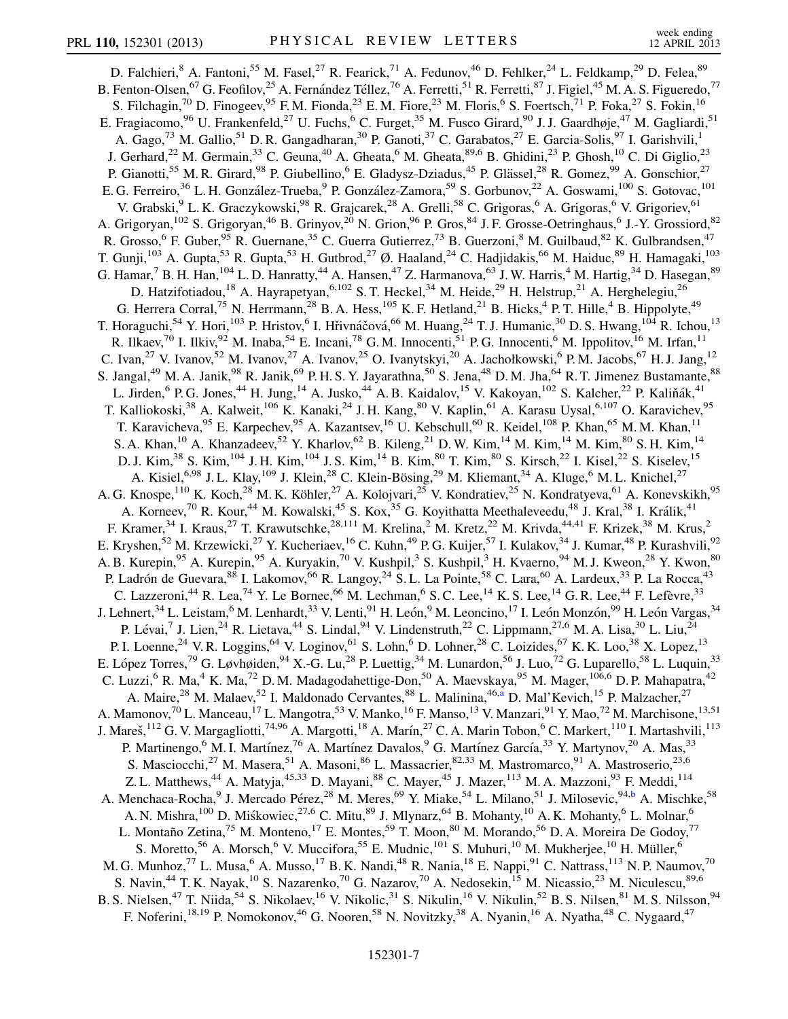<span id="page-6-1"></span><span id="page-6-0"></span>D. Falchieri,<sup>8</sup> A. Fantoni,<sup>55</sup> M. Fasel,<sup>27</sup> R. Fearick,<sup>71</sup> A. Fedunov,<sup>46</sup> D. Fehlker,<sup>24</sup> L. Feldkamp,<sup>29</sup> D. Felea,<sup>89</sup> B. Fenton-Olsen,<sup>67</sup> G. Feofilov,<sup>25</sup> A. Fernández Téllez,<sup>76</sup> A. Ferretti,<sup>51</sup> R. Ferretti,<sup>87</sup> J. Figiel,<sup>45</sup> M. A. S. Figueredo,<sup>77</sup> S. Filchagin,<sup>70</sup> D. Finogeev,<sup>95</sup> F.M. Fionda,<sup>23</sup> E.M. Fiore,<sup>23</sup> M. Floris,<sup>6</sup> S. Foertsch,<sup>71</sup> P. Foka,<sup>27</sup> S. Fokin,<sup>16</sup> E. Fragiacomo,<sup>96</sup> U. Frankenfeld,<sup>27</sup> U. Fuchs,<sup>6</sup> C. Furget,<sup>35</sup> M. Fusco Girard,<sup>90</sup> J.J. Gaardhøje,<sup>47</sup> M. Gagliardi,<sup>51</sup> A. Gago,<sup>73</sup> M. Gallio,<sup>51</sup> D. R. Gangadharan,<sup>30</sup> P. Ganoti,<sup>37</sup> C. Garabatos,<sup>27</sup> E. Garcia-Solis,<sup>97</sup> I. Garishvili,<sup>1</sup> J. Gerhard,<sup>22</sup> M. Germain,<sup>33</sup> C. Geuna,<sup>40</sup> A. Gheata,<sup>6</sup> M. Gheata,<sup>89,6</sup> B. Ghidini,<sup>23</sup> P. Ghosh,<sup>10</sup> C. Di Giglio,<sup>23</sup> P. Gianotti,<sup>55</sup> M. R. Girard,<sup>98</sup> P. Giubellino,<sup>6</sup> E. Gladysz-Dziadus,<sup>45</sup> P. Glässel,<sup>28</sup> R. Gomez,<sup>99</sup> A. Gonschior,<sup>27</sup> E. G. Ferreiro,<sup>36</sup> L. H. González-Trueba,<sup>9</sup> P. González-Zamora,<sup>59</sup> S. Gorbunov,<sup>22</sup> A. Goswami,<sup>100</sup> S. Gotovac,<sup>101</sup> V. Grabski, <sup>9</sup> L. K. Graczykowski, <sup>98</sup> R. Grajcarek, <sup>28</sup> A. Grelli, <sup>58</sup> C. Grigoras, <sup>6</sup> A. Grigoras, <sup>6</sup> V. Grigoriev, <sup>61</sup> A. Grigoryan,<sup>102</sup> S. Grigoryan,<sup>46</sup> B. Grinyov,<sup>20</sup> N. Grion,<sup>96</sup> P. Gros,<sup>84</sup> J. F. Grosse-Oetringhaus,<sup>6</sup> J.-Y. Grossiord,<sup>82</sup> R. Grosso,<sup>6</sup> F. Guber,<sup>95</sup> R. Guernane,<sup>35</sup> C. Guerra Gutierrez,<sup>73</sup> B. Guerzoni,<sup>8</sup> M. Guilbaud,<sup>82</sup> K. Gulbrandsen,<sup>47</sup> T. Gunji,<sup>103</sup> A. Gupta,<sup>53</sup> R. Gupta,<sup>53</sup> H. Gutbrod,<sup>27</sup> Ø. Haaland,<sup>24</sup> C. Hadjidakis,<sup>66</sup> M. Haiduc,<sup>89</sup> H. Hamagaki,<sup>103</sup> G. Hamar,<sup>7</sup> B. H. Han,<sup>104</sup> L. D. Hanratty,<sup>44</sup> A. Hansen,<sup>47</sup> Z. Harmanova,<sup>63</sup> J. W. Harris,<sup>4</sup> M. Hartig,<sup>34</sup> D. Hasegan,<sup>89</sup> D. Hatzifotiadou,<sup>18</sup> A. Hayrapetyan,<sup>6,102</sup> S. T. Heckel,<sup>34</sup> M. Heide,<sup>29</sup> H. Helstrup,<sup>21</sup> A. Herghelegiu,<sup>26</sup> G. Herrera Corral,<sup>75</sup> N. Herrmann,<sup>28</sup> B. A. Hess,<sup>105</sup> K. F. Hetland,<sup>21</sup> B. Hicks,<sup>4</sup> P. T. Hille,<sup>4</sup> B. Hippolyte,<sup>49</sup> T. Horaguchi,<sup>54</sup> Y. Hori,<sup>103</sup> P. Hristov,<sup>6</sup> I. Hřivnáčová,<sup>66</sup> M. Huang,<sup>24</sup> T. J. Humanic,<sup>30</sup> D. S. Hwang,<sup>104</sup> R. Ichou,<sup>13</sup> R. Ilkaev,<sup>70</sup> I. Ilkiv,<sup>92</sup> M. Inaba,<sup>54</sup> E. Incani,<sup>78</sup> G. M. Innocenti,<sup>51</sup> P. G. Innocenti,<sup>6</sup> M. Ippolitov,<sup>16</sup> M. Irfan,<sup>11</sup> C. Ivan,<sup>27</sup> V. Ivanov,<sup>52</sup> M. Ivanov,<sup>27</sup> A. Ivanov,<sup>25</sup> O. Ivanytskyi,<sup>20</sup> A. Jachołkowski,<sup>6</sup> P.M. Jacobs,<sup>67</sup> H.J. Jang,<sup>12</sup> S. Jangal,<sup>49</sup> M. A. Janik,<sup>98</sup> R. Janik,<sup>69</sup> P. H. S. Y. Jayarathna,<sup>50</sup> S. Jena,<sup>48</sup> D. M. Jha,<sup>64</sup> R. T. Jimenez Bustamante,<sup>88</sup> L. Jirden, <sup>6</sup> P. G. Jones, <sup>44</sup> H. Jung, <sup>14</sup> A. Jusko, <sup>44</sup> A. B. Kaidalov, <sup>15</sup> V. Kakoyan, <sup>102</sup> S. Kalcher, <sup>22</sup> P. Kaliňák, <sup>41</sup> T. Kalliokoski,<sup>38</sup> A. Kalweit,<sup>106</sup> K. Kanaki,<sup>24</sup> J. H. Kang,<sup>80</sup> V. Kaplin,<sup>61</sup> A. Karasu Uysal,<sup>6,107</sup> O. Karavichev,<sup>95</sup> T. Karavicheva, <sup>95</sup> E. Karpechev, <sup>95</sup> A. Kazantsev, <sup>16</sup> U. Kebschull, <sup>60</sup> R. Keidel, <sup>108</sup> P. Khan, <sup>65</sup> M. M. Khan, <sup>11</sup> S. A. Khan,<sup>10</sup> A. Khanzadeev,<sup>52</sup> Y. Kharlov,<sup>62</sup> B. Kileng,<sup>21</sup> D. W. Kim,<sup>14</sup> M. Kim,<sup>14</sup> M. Kim,<sup>80</sup> S. H. Kim,<sup>14</sup> D. J. Kim,<sup>38</sup> S. Kim,<sup>104</sup> J. H. Kim,<sup>104</sup> J. S. Kim,<sup>14</sup> B. Kim,<sup>80</sup> T. Kim,<sup>80</sup> S. Kirsch,<sup>22</sup> I. Kisel,<sup>22</sup> S. Kiselev,<sup>15</sup> A. Kisiel,<sup>6,98</sup> J. L. Klay,<sup>109</sup> J. Klein,<sup>28</sup> C. Klein-Bösing,<sup>29</sup> M. Kliemant,<sup>34</sup> A. Kluge,<sup>6</sup> M. L. Knichel,<sup>27</sup> A. G. Knospe,<sup>110</sup> K. Koch,<sup>28</sup> M. K. Köhler,<sup>27</sup> A. Kolojvari,<sup>25</sup> V. Kondratiev,<sup>25</sup> N. Kondratyeva,<sup>61</sup> A. Konevskikh,<sup>95</sup> A. Korneev,<sup>70</sup> R. Kour,<sup>44</sup> M. Kowalski,<sup>45</sup> S. Kox,<sup>35</sup> G. Koyithatta Meethaleveedu,<sup>48</sup> J. Kral,<sup>38</sup> I. Králik,<sup>41</sup> F. Kramer,<sup>34</sup> I. Kraus,<sup>27</sup> T. Krawutschke,<sup>28,111</sup> M. Krelina,<sup>2</sup> M. Kretz,<sup>22</sup> M. Krivda,<sup>44,41</sup> F. Krizek,<sup>38</sup> M. Krus,<sup>2</sup> E. Kryshen,<sup>52</sup> M. Krzewicki,<sup>27</sup> Y. Kucheriaev,<sup>16</sup> C. Kuhn,<sup>49</sup> P. G. Kuijer,<sup>57</sup> I. Kulakov,<sup>34</sup> J. Kumar,<sup>48</sup> P. Kurashvili,<sup>92</sup> A. B. Kurepin,<sup>95</sup> A. Kurepin,<sup>95</sup> A. Kuryakin,<sup>70</sup> V. Kushpil,<sup>3</sup> S. Kushpil,<sup>3</sup> H. Kvaerno,<sup>94</sup> M. J. Kweon,<sup>28</sup> Y. Kwon,<sup>80</sup> P. Ladrón de Guevara,<sup>88</sup> I. Lakomov,<sup>66</sup> R. Langoy,<sup>24</sup> S. L. La Pointe,<sup>58</sup> C. Lara,<sup>60</sup> A. Lardeux,<sup>33</sup> P. La Rocca,<sup>43</sup> C. Lazzeroni,<sup>44</sup> R. Lea,<sup>74</sup> Y. Le Bornec,<sup>66</sup> M. Lechman,<sup>6</sup> S. C. Lee,<sup>14</sup> K. S. Lee,<sup>14</sup> G. R. Lee,<sup>44</sup> F. Lefèvre,<sup>33</sup> J. Lehnert,<sup>34</sup> L. Leistam,<sup>6</sup> M. Lenhardt,<sup>33</sup> V. Lenti,<sup>91</sup> H. León,<sup>9</sup> M. Leoncino,<sup>17</sup> I. León Monzón,<sup>99</sup> H. León Vargas,<sup>34</sup> P. Lévai,<sup>7</sup> J. Lien,<sup>24</sup> R. Lietava,<sup>44</sup> S. Lindal,<sup>94</sup> V. Lindenstruth,<sup>22</sup> C. Lippmann,<sup>27,6</sup> M. A. Lisa,<sup>30</sup> L. Liu,<sup>24</sup> P. I. Loenne,<sup>24</sup> V. R. Loggins,<sup>64</sup> V. Loginov,<sup>61</sup> S. Lohn,<sup>6</sup> D. Lohner,<sup>28</sup> C. Loizides,<sup>67</sup> K. K. Loo,<sup>38</sup> X. Lopez,<sup>13</sup> E. López Torres,<sup>79</sup> G. Løvhøiden,<sup>94</sup> X.-G. Lu,<sup>28</sup> P. Luettig,<sup>34</sup> M. Lunardon,<sup>56</sup> J. Luo,<sup>72</sup> G. Luparello,<sup>58</sup> L. Luquin,<sup>33</sup> C. Luzzi,<sup>6</sup> R. Ma,<sup>4</sup> K. Ma,<sup>72</sup> D. M. Madagodahettige-Don,<sup>50</sup> A. Maevskaya,<sup>95</sup> M. Mager,<sup>106,6</sup> D. P. Mahapatra,<sup>42</sup> A. Maire,<sup>28</sup> M. Malaev,<sup>52</sup> I. Maldonado Cervantes,<sup>88</sup> L. Malinina,<sup>46[,a](#page-10-0)</sup> D. Mal'Kevich,<sup>15</sup> P. Malzacher,<sup>27</sup> A. Mamonov,<sup>70</sup> L. Manceau,<sup>17</sup> L. Mangotra,<sup>53</sup> V. Manko,<sup>16</sup> F. Manso,<sup>13</sup> V. Manzari,<sup>91</sup> Y. Mao,<sup>72</sup> M. Marchisone,<sup>13,51</sup> J. Mareš, 112 G. V. Margagliotti, <sup>74,96</sup> A. Margotti, <sup>18</sup> A. Marín, <sup>27</sup> C. A. Marin Tobon, <sup>6</sup> C. Markert, <sup>110</sup> I. Martashvili, <sup>113</sup> P. Martinengo,<sup>6</sup> M. I. Martínez,<sup>76</sup> A. Martínez Davalos,<sup>9</sup> G. Martínez García,<sup>33</sup> Y. Martynov,<sup>20</sup> A. Mas,<sup>33</sup> S. Masciocchi,<sup>27</sup> M. Masera,<sup>51</sup> A. Masoni,<sup>86</sup> L. Massacrier,<sup>82,33</sup> M. Mastromarco,<sup>91</sup> A. Mastroserio,<sup>23,6</sup> Z. L. Matthews,<sup>44</sup> A. Matyja,<sup>45,33</sup> D. Mayani,<sup>88</sup> C. Mayer,<sup>45</sup> J. Mazer,<sup>113</sup> M. A. Mazzoni,<sup>93</sup> F. Meddi,<sup>114</sup> A. Menchaca-Rocha,<sup>9</sup> J. Mercado Pérez,<sup>28</sup> M. Meres,<sup>69</sup> Y. Miake,<sup>54</sup> L. Milano,<sup>51</sup> J. Milosevic,<sup>94[,b](#page-10-1)</sup> A. Mischke,<sup>58</sup> A. N. Mishra,<sup>100</sup> D. Miśkowiec,<sup>27,6</sup> C. Mitu,<sup>89</sup> J. Mlynarz,<sup>64</sup> B. Mohanty,<sup>10</sup> A. K. Mohanty,<sup>6</sup> L. Molnar,<sup>6</sup> L. Montaño Zetina,<sup>75</sup> M. Monteno,<sup>17</sup> E. Montes,<sup>59</sup> T. Moon,<sup>80</sup> M. Morando,<sup>56</sup> D. A. Moreira De Godoy,<sup>77</sup> S. Moretto,<sup>56</sup> A. Morsch,<sup>6</sup> V. Muccifora,<sup>55</sup> E. Mudnic,<sup>101</sup> S. Muhuri,<sup>10</sup> M. Mukherjee,<sup>10</sup> H. Müller,<sup>6</sup> M. G. Munhoz,<sup>77</sup> L. Musa,<sup>6</sup> A. Musso,<sup>17</sup> B. K. Nandi,<sup>48</sup> R. Nania,<sup>18</sup> E. Nappi,<sup>91</sup> C. Nattrass,<sup>113</sup> N. P. Naumov,<sup>70</sup> S. Navin,<sup>44</sup> T. K. Nayak,<sup>10</sup> S. Nazarenko,<sup>70</sup> G. Nazarov,<sup>70</sup> A. Nedosekin,<sup>15</sup> M. Nicassio,<sup>23</sup> M. Niculescu,<sup>89,6</sup> B. S. Nielsen,<sup>47</sup> T. Niida,<sup>54</sup> S. Nikolaev,<sup>16</sup> V. Nikolic,<sup>31</sup> S. Nikulin,<sup>16</sup> V. Nikulin,<sup>52</sup> B. S. Nilsen,<sup>81</sup> M. S. Nilsson,<sup>94</sup> F. Noferini,<sup>18,19</sup> P. Nomokonov,<sup>46</sup> G. Nooren,<sup>58</sup> N. Novitzky,<sup>38</sup> A. Nyanin,<sup>16</sup> A. Nyatha,<sup>48</sup> C. Nygaard,<sup>47</sup>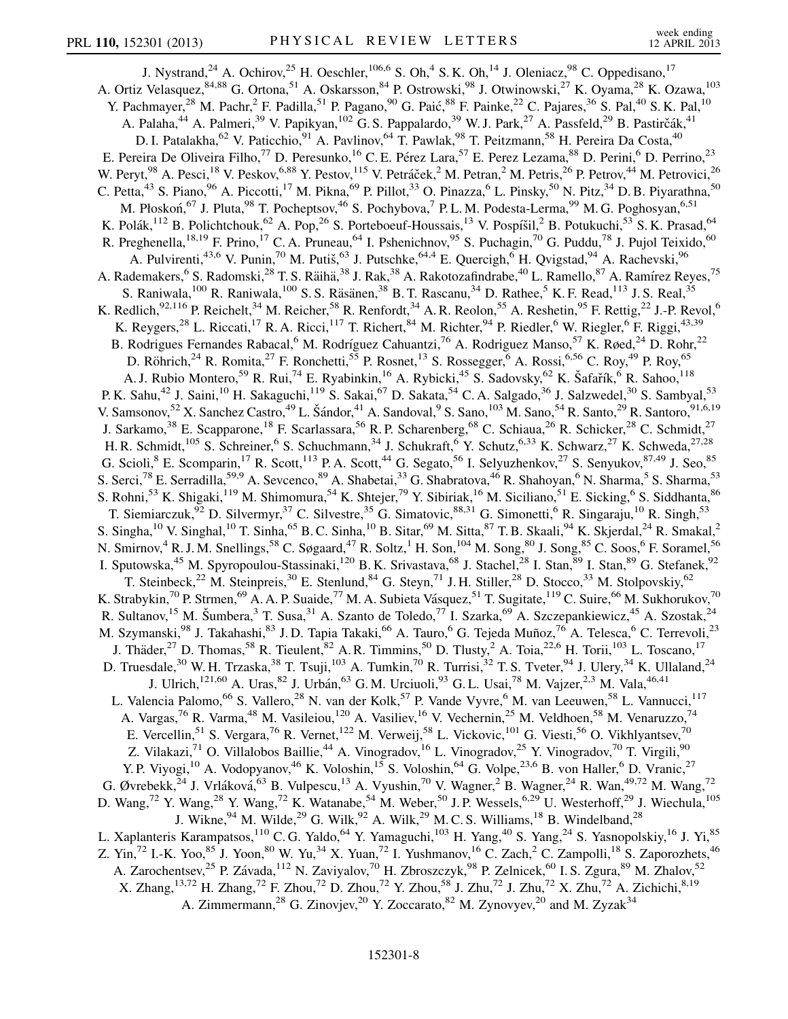J. Nystrand,<sup>24</sup> A. Ochirov,<sup>25</sup> H. Oeschler,<sup>106,6</sup> S. Oh,<sup>4</sup> S. K. Oh,<sup>14</sup> J. Oleniacz,<sup>98</sup> C. Oppedisano,<sup>17</sup> A. Ortiz Velasquez, <sup>84,88</sup> G. Ortona, <sup>51</sup> A. Oskarsson, <sup>84</sup> P. Ostrowski, <sup>98</sup> J. Otwinowski, <sup>27</sup> K. Oyama, <sup>28</sup> K. Ozawa, <sup>103</sup> Y. Pachmayer,<sup>28</sup> M. Pachr,<sup>2</sup> F. Padilla,<sup>51</sup> P. Pagano,<sup>90</sup> G. Paić,<sup>88</sup> F. Painke,<sup>22</sup> C. Pajares,<sup>36</sup> S. Pal,<sup>40</sup> S. K. Pal,<sup>10</sup> A. Palaha,<sup>44</sup> A. Palmeri,<sup>39</sup> V. Papikyan,<sup>102</sup> G. S. Pappalardo,<sup>39</sup> W. J. Park,<sup>27</sup> A. Passfeld,<sup>29</sup> B. Pastirčák,<sup>41</sup> D. I. Patalakha, <sup>62</sup> V. Paticchio, <sup>91</sup> A. Pavlinov, <sup>64</sup> T. Pawlak, <sup>98</sup> T. Peitzmann, <sup>58</sup> H. Pereira Da Costa, <sup>40</sup> E. Pereira De Oliveira Filho,<sup>77</sup> D. Peresunko,<sup>16</sup> C. E. Pérez Lara,<sup>57</sup> E. Perez Lezama,<sup>88</sup> D. Perini,<sup>6</sup> D. Perrino,<sup>23</sup> W. Peryt,<sup>98</sup> A. Pesci,<sup>18</sup> V. Peskov,<sup>6,88</sup> Y. Pestov,<sup>115</sup> V. Petráček,<sup>2</sup> M. Petran,<sup>2</sup> M. Petris,<sup>26</sup> P. Petrov,<sup>44</sup> M. Petrovici,<sup>26</sup> C. Petta, <sup>43</sup> S. Piano, <sup>96</sup> A. Piccotti, <sup>17</sup> M. Pikna, <sup>69</sup> P. Pillot, <sup>33</sup> O. Pinazza, <sup>6</sup> L. Pinsky, <sup>50</sup> N. Pitz, <sup>34</sup> D. B. Piyarathna, <sup>50</sup> M. Płoskoń,<sup>67</sup> J. Pluta,<sup>98</sup> T. Pocheptsov,<sup>46</sup> S. Pochybova,<sup>7</sup> P. L. M. Podesta-Lerma,<sup>99</sup> M. G. Poghosyan,<sup>6,51</sup> K. Polák,<sup>112</sup> B. Polichtchouk,<sup>62</sup> A. Pop,<sup>26</sup> S. Porteboeuf-Houssais,<sup>13</sup> V. Pospíšil,<sup>2</sup> B. Potukuchi,<sup>53</sup> S. K. Prasad,<sup>64</sup> R. Preghenella,<sup>18,19</sup> F. Prino,<sup>17</sup> C. A. Pruneau,<sup>64</sup> I. Pshenichnov,<sup>95</sup> S. Puchagin,<sup>70</sup> G. Puddu,<sup>78</sup> J. Pujol Teixido,<sup>60</sup> A. Pulvirenti,<sup>43,6</sup> V. Punin,<sup>70</sup> M. Putiš,<sup>63</sup> J. Putschke,<sup>64,4</sup> E. Quercigh,<sup>6</sup> H. Qvigstad,<sup>94</sup> A. Rachevski,<sup>96</sup> A. Rademakers, <sup>6</sup> S. Radomski, <sup>28</sup> T. S. Räihä, <sup>38</sup> J. Rak, <sup>38</sup> A. Rakotozafindrabe, <sup>40</sup> L. Ramello, <sup>87</sup> A. Ramírez Reyes, <sup>75</sup> S. Raniwala,<sup>100</sup> R. Raniwala,<sup>100</sup> S. S. Räsänen,<sup>38</sup> B. T. Rascanu,<sup>34</sup> D. Rathee,<sup>5</sup> K. F. Read,<sup>113</sup> J. S. Real,<sup>35</sup> K. Redlich,<sup>92,116</sup> P. Reichelt,<sup>34</sup> M. Reicher,<sup>58</sup> R. Renfordt,<sup>34</sup> A. R. Reolon,<sup>55</sup> A. Reshetin,<sup>95</sup> F. Rettig,<sup>22</sup> J.-P. Revol,<sup>6</sup> K. Reygers,<sup>28</sup> L. Riccati,<sup>17</sup> R. A. Ricci,<sup>117</sup> T. Richert,<sup>84</sup> M. Richter,<sup>94</sup> P. Riedler,<sup>6</sup> W. Riegler,<sup>6</sup> F. Riggi,<sup>43,39</sup> B. Rodrigues Fernandes Rabacal,<sup>6</sup> M. Rodríguez Cahuantzi,<sup>76</sup> A. Rodriguez Manso,<sup>57</sup> K. Røed,<sup>24</sup> D. Rohr,<sup>22</sup> D. Röhrich,<sup>24</sup> R. Romita,<sup>27</sup> F. Ronchetti,<sup>55</sup> P. Rosnet,<sup>13</sup> S. Rossegger,<sup>6</sup> A. Rossi,<sup>6,56</sup> C. Roy,<sup>49</sup> P. Roy,<sup>65</sup> A. J. Rubio Montero,<sup>59</sup> R. Rui,<sup>74</sup> E. Ryabinkin,<sup>16</sup> A. Rybicki,<sup>45</sup> S. Sadovsky,<sup>62</sup> K. Šafařík,<sup>6</sup> R. Sahoo,<sup>118</sup> P. K. Sahu,<sup>42</sup> J. Saini,<sup>10</sup> H. Sakaguchi,<sup>119</sup> S. Sakai,<sup>67</sup> D. Sakata,<sup>54</sup> C. A. Salgado,<sup>36</sup> J. Salzwedel,<sup>30</sup> S. Sambyal,<sup>53</sup> V. Samsonov,<sup>52</sup> X. Sanchez Castro,<sup>49</sup> L. Šándor,<sup>41</sup> A. Sandoval,<sup>9</sup> S. Sano,<sup>103</sup> M. Sano,<sup>54</sup> R. Santo,<sup>29</sup> R. Santoro,<sup>91,6,19</sup> J. Sarkamo,<sup>38</sup> E. Scapparone,<sup>18</sup> F. Scarlassara,<sup>56</sup> R. P. Scharenberg,<sup>68</sup> C. Schiaua,<sup>26</sup> R. Schicker,<sup>28</sup> C. Schmidt,<sup>27</sup> H. R. Schmidt,<sup>105</sup> S. Schreiner,<sup>6</sup> S. Schuchmann,<sup>34</sup> J. Schukraft,<sup>6</sup> Y. Schutz,<sup>6,33</sup> K. Schwarz,<sup>27</sup> K. Schweda,<sup>27,28</sup> G. Scioli,<sup>8</sup> E. Scomparin,<sup>17</sup> R. Scott,<sup>113</sup> P. A. Scott,<sup>44</sup> G. Segato,<sup>56</sup> I. Selyuzhenkov,<sup>27</sup> S. Senyukov,<sup>87,49</sup> J. Seo,<sup>85</sup> S. Serci,<sup>78</sup> E. Serradilla,<sup>59,9</sup> A. Sevcenco,<sup>89</sup> A. Shabetai,<sup>33</sup> G. Shabratova,<sup>46</sup> R. Shahoyan,<sup>6</sup> N. Sharma,<sup>5</sup> S. Sharma,<sup>53</sup> S. Rohni,<sup>53</sup> K. Shigaki,<sup>119</sup> M. Shimomura,<sup>54</sup> K. Shtejer,<sup>79</sup> Y. Sibiriak,<sup>16</sup> M. Siciliano,<sup>51</sup> E. Sicking,<sup>6</sup> S. Siddhanta,<sup>86</sup> T. Siemiarczuk,<sup>92</sup> D. Silvermyr,<sup>37</sup> C. Silvestre,<sup>35</sup> G. Simatovic,<sup>88,31</sup> G. Simonetti,<sup>6</sup> R. Singaraju,<sup>10</sup> R. Singh,<sup>53</sup> S. Singha,<sup>10</sup> V. Singhal,<sup>10</sup> T. Sinha,<sup>65</sup> B. C. Sinha,<sup>10</sup> B. Sitar,<sup>69</sup> M. Sitta,<sup>87</sup> T. B. Skaali,<sup>94</sup> K. Skjerdal,<sup>24</sup> R. Smakal,<sup>2</sup> N. Smirnov,<sup>4</sup> R. J. M. Snellings,<sup>58</sup> C. Søgaard,<sup>47</sup> R. Soltz,<sup>1</sup> H. Son,<sup>104</sup> M. Song,<sup>80</sup> J. Song,<sup>85</sup> C. Soos,<sup>6</sup> F. Soramel,<sup>56</sup> I. Sputowska,<sup>45</sup> M. Spyropoulou-Stassinaki,<sup>120</sup> B.K. Srivastava,<sup>68</sup> J. Stachel,<sup>28</sup> I. Stan,<sup>89</sup> I. Stan,<sup>89</sup> G. Stefanek,<sup>92</sup> T. Steinbeck,<sup>22</sup> M. Steinpreis,<sup>30</sup> E. Stenlund,<sup>84</sup> G. Steyn,<sup>71</sup> J.H. Stiller,<sup>28</sup> D. Stocco,<sup>33</sup> M. Stolpovskiy,<sup>62</sup> K. Strabykin,<sup>70</sup> P. Strmen,<sup>69</sup> A. A. P. Suaide,<sup>77</sup> M. A. Subieta Vásquez,<sup>51</sup> T. Sugitate,<sup>119</sup> C. Suire,<sup>66</sup> M. Sukhorukov,<sup>70</sup> R. Sultanov,<sup>15</sup> M. Šumbera,<sup>3</sup> T. Susa,<sup>31</sup> A. Szanto de Toledo,<sup>77</sup> I. Szarka,<sup>69</sup> A. Szczepankiewicz,<sup>45</sup> A. Szostak,<sup>24</sup> M. Szymanski,<sup>98</sup> J. Takahashi,<sup>83</sup> J.D. Tapia Takaki,<sup>66</sup> A. Tauro,<sup>6</sup> G. Tejeda Muñoz,<sup>76</sup> A. Telesca,<sup>6</sup> C. Terrevoli,<sup>23</sup> J. Thäder,<sup>27</sup> D. Thomas,<sup>58</sup> R. Tieulent,<sup>82</sup> A. R. Timmins,<sup>50</sup> D. Tlusty,<sup>2</sup> A. Toia,<sup>22,6</sup> H. Torii,<sup>103</sup> L. Toscano,<sup>17</sup> D. Truesdale,<sup>30</sup> W. H. Trzaska,<sup>38</sup> T. Tsuji,<sup>103</sup> A. Tumkin,<sup>70</sup> R. Turrisi,<sup>32</sup> T. S. Tveter,<sup>94</sup> J. Ulery,<sup>34</sup> K. Ullaland,<sup>24</sup> J. Ulrich,<sup>121,60</sup> A. Uras,<sup>82</sup> J. Urbán,<sup>63</sup> G. M. Urciuoli,<sup>93</sup> G. L. Usai,<sup>78</sup> M. Vajzer,<sup>2,3</sup> M. Vala,<sup>46,41</sup> L. Valencia Palomo,<sup>66</sup> S. Vallero,<sup>28</sup> N. van der Kolk,<sup>57</sup> P. Vande Vyvre,<sup>6</sup> M. van Leeuwen,<sup>58</sup> L. Vannucci,<sup>117</sup> A. Vargas,<sup>76</sup> R. Varma,<sup>48</sup> M. Vasileiou,<sup>120</sup> A. Vasiliev,<sup>16</sup> V. Vechernin,<sup>25</sup> M. Veldhoen,<sup>58</sup> M. Venaruzzo,<sup>74</sup> E. Vercellin,<sup>51</sup> S. Vergara,<sup>76</sup> R. Vernet,<sup>122</sup> M. Verweij,<sup>58</sup> L. Vickovic,<sup>101</sup> G. Viesti,<sup>56</sup> O. Vikhlyantsev,<sup>70</sup> Z. Vilakazi,<sup>71</sup> O. Villalobos Baillie,<sup>44</sup> A. Vinogradov,<sup>16</sup> L. Vinogradov,<sup>25</sup> Y. Vinogradov,<sup>70</sup> T. Virgili,<sup>90</sup> Y. P. Viyogi,<sup>10</sup> A. Vodopyanov,<sup>46</sup> K. Voloshin,<sup>15</sup> S. Voloshin,<sup>64</sup> G. Volpe,<sup>23,6</sup> B. von Haller,<sup>6</sup> D. Vranic,<sup>27</sup> G. Øvrebekk,<sup>24</sup> J. Vrláková,<sup>63</sup> B. Vulpescu,<sup>13</sup> A. Vyushin,<sup>70</sup> V. Wagner,<sup>2</sup> B. Wagner,<sup>24</sup> R. Wan,<sup>49,72</sup> M. Wang,<sup>72</sup> D. Wang,<sup>72</sup> Y. Wang,<sup>28</sup> Y. Wang,<sup>72</sup> K. Watanabe,<sup>54</sup> M. Weber,<sup>50</sup> J. P. Wessels,<sup>6,29</sup> U. Westerhoff,<sup>29</sup> J. Wiechula,<sup>105</sup> J. Wikne,  $94$  M. Wilde,  $29$  G. Wilk,  $92$  A. Wilk,  $29$  M. C. S. Williams,  $18$  B. Windelband,  $28$ L. Xaplanteris Karampatsos,<sup>110</sup> C. G. Yaldo,<sup>64</sup> Y. Yamaguchi,<sup>103</sup> H. Yang,<sup>40</sup> S. Yang,<sup>24</sup> S. Yasnopolskiy,<sup>16</sup> J. Yi,<sup>85</sup> Z. Yin,<sup>72</sup> I.-K. Yoo,<sup>85</sup> J. Yoon,<sup>80</sup> W. Yu,<sup>34</sup> X. Yuan,<sup>72</sup> I. Yushmanov,<sup>16</sup> C. Zach,<sup>2</sup> C. Zampolli,<sup>18</sup> S. Zaporozhets,<sup>46</sup> A. Zarochentsev,<sup>25</sup> P. Závada,<sup>112</sup> N. Zaviyalov,<sup>70</sup> H. Zbroszczyk,<sup>98</sup> P. Zelnicek,<sup>60</sup> I. S. Zgura,<sup>89</sup> M. Zhalov,<sup>52</sup> X. Zhang,<sup>13,72</sup> H. Zhang,<sup>72</sup> F. Zhou,<sup>72</sup> D. Zhou,<sup>72</sup> Y. Zhou,<sup>58</sup> J. Zhu,<sup>72</sup> J. Zhu,<sup>72</sup> X. Zhu,<sup>72</sup> A. Zichichi,<sup>8,19</sup>

A. Zimmermann,<sup>28</sup> G. Zinovjev,<sup>20</sup> Y. Zoccarato,<sup>82</sup> M. Zynovyev,<sup>20</sup> and M. Zyzak<sup>34</sup>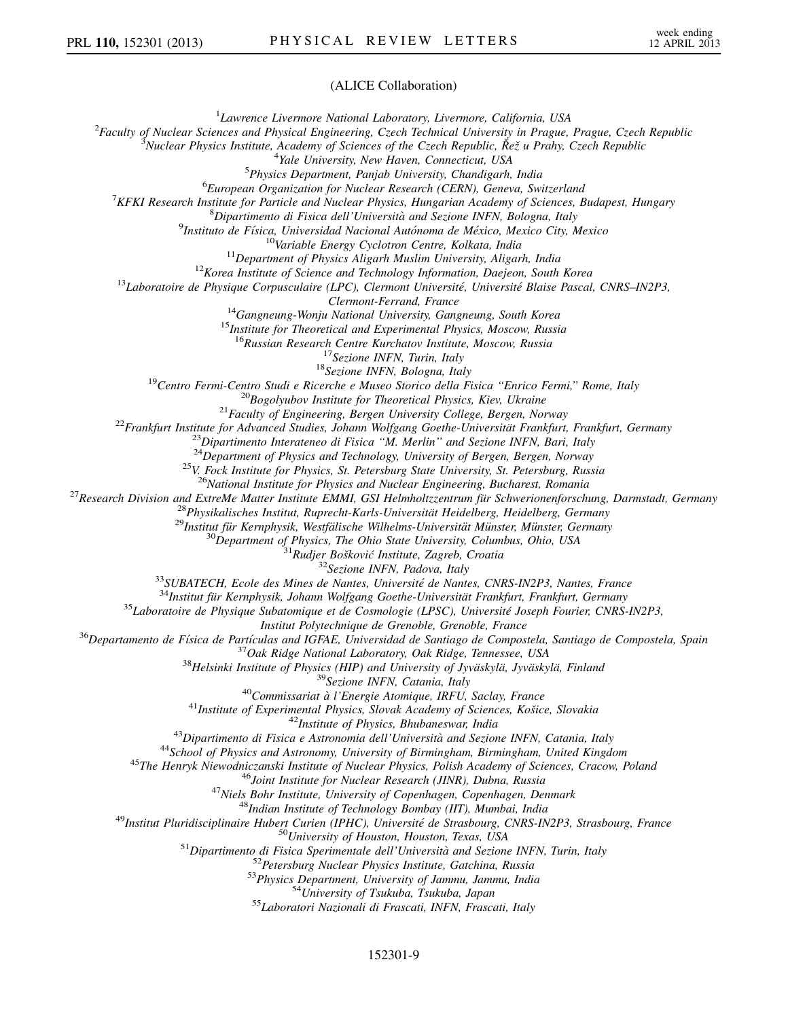(ALICE Collaboration)

 ${}^{1}$ Lawrence Livermore National Laboratory, Livermore, California, USA

<sup>1</sup>Lawrence Livermore National Laboratory, Livermore, California, USA<br><sup>2</sup>Eaculty of Nuclear Sciences and Physical Engineering, Czech Technical University in Prague

Faculty of Nuclear Sciences and Physical Engineering, Czech Technical University in Prague, Prague, Czech Republic<br><sup>3</sup>Nuclear Physics Institute, Academy of Sciences of the Czech Republic *Peč u Prahy Czech Republic*  $\delta$ Nuclear Physics Institute, Academy of Sciences of the Czech Republic, Řež $u$  Prahy, Czech Republic <sup>4</sup>Yale University, New Haven, Connecticut, USA<br><sup>5</sup>Physics Department, Panjab University, Chandigarh, India  ${}^{6}$ European Organization for Nuclear Research (CERN), Geneva, Switzerland <sup>6</sup>European Organization for Nuclear Research (CERN), Geneva, Switzerland<br><sup>7</sup>KEKI Research Institute for Particle and Nuclear Physics, Hungarian Academy of Sciences, E KFKI Research Institute for Particle and Nuclear Physics, Hungarian Academy of Sciences, Budapest, Hungary<br><sup>8</sup>Dinartimento di Fisica dell'Università and Sazione INEN, Bologna, Italy  ${}^{8}$ Dipartimento di Fisica dell'Università and Sezione INFN, Bologna, Italy  ${}^{9}$ Instituto de Física, Universidad Nacional Autónoma de México, Mexico City, Mexico <sup>10</sup>Variable Energy Cyclotron Centre, Kolkata, India<br><sup>11</sup>Department of Physics Aligarh Muslim University, Aligarh, India<br><sup>12</sup>Korea Institute of Science and Technology Information, Daejeon, South Korea<sup>13</sup>Laboratoire de Ph Clermont-Ferrand, France<br><sup>14</sup>Gangneung-Wonju National University, Gangneung, South Korea<br><sup>15</sup>Institute for Theoretical and Experimental Physics, Moscow, Russia<br><sup>16</sup>Russian Research Centre Kurchatov Institute, Moscow, Russi <sup>17</sup>Sezione INFN, Turin, Italy<br><sup>18</sup>Sezione INFN, Bologna, Italy<br><sup>19</sup>Centro Fermi-Centro Studi e Ricerche e Museo Storico della Fisica "Enrico Fermi," Rome, Italy<br><sup>20</sup>Bogolyubov Institute for Theoretical Physics, Kiev, Ukr <sup>25</sup>V. Fock Institute for Physics, St. Petersburg State University, St. Petersburg, Russia<br><sup>26</sup>National Institute for Physics and Nuclear Engineering, Bucharest, Romania <sup>27</sup>Research Division and ExtreMe Matter Institute EMMI, GSI Helmholtzzentrum für Schwerionenforschung, Darmstadt, Germany<br><sup>28</sup>Physikalisches Institut, Ruprecht-Karls-Universität Heidelberg, Heidelberg, Germany<br><sup>29</sup>Instit Institut Polytechnique de Grenoble, Grenoble, France <sup>36</sup>Departamento de Fı´sica de Partı´culas and IGFAE, Universidad de Santiago de Compostela, Santiago de Compostela, Spain <sup>37</sup>Oak Ridge National Laboratory, Oak Ridge, Tennessee, USA <sup>38</sup>Helsinki Institute of Physics (HIP) and University of Jyva¨skyla¨, Jyva¨skyla¨, Finland <sup>39</sup>Sezione INFN, Catania, Italy <sup>40</sup>Commissariat a` l'Energie Atomique, IRFU, Saclay, France <sup>41</sup>Institute of Experimental Physics, Slovak Academy of Sciences, Kosˇice, Slovakia <sup>42</sup>Institute of Physics, Bhubaneswar, India <sup>43</sup>Dipartimento di Fisica e Astronomia dell'Universita` and Sezione INFN, Catania, Italy <sup>44</sup>School of Physics and Astronomy, University of Birmingham, Birmingham, United Kingdom <sup>45</sup>The Henryk Niewodniczanski Institute of Nuclear Physics, Polish Academy of Sciences, Cracow, Poland <sup>46</sup>Joint Institute for Nuclear Research (JINR), Dubna, Russia <sup>47</sup>Niels Bohr Institute, University of Copenhagen, Copenhagen, Denmark <sup>48</sup>Indian Institute of Technology Bombay (IIT), Mumbai, India <sup>49</sup>Institut Pluridisciplinaire Hubert Curien (IPHC), Universite´ de Strasbourg, CNRS-IN2P3, Strasbourg, France <sup>50</sup>University of Houston, Houston, Texas, USA <sup>51</sup>Dipartimento di Fisica Sperimentale dell'Universita` and Sezione INFN, Turin, Italy <sup>52</sup>Petersburg Nuclear Physics Institute, Gatchina, Russia <sup>53</sup>Physics Department, University of Jammu, Jammu, India <sup>54</sup>University of Tsukuba, Tsukuba, Japan <sup>55</sup>Laboratori Nazionali di Frascati, INFN, Frascati, Italy 152301-9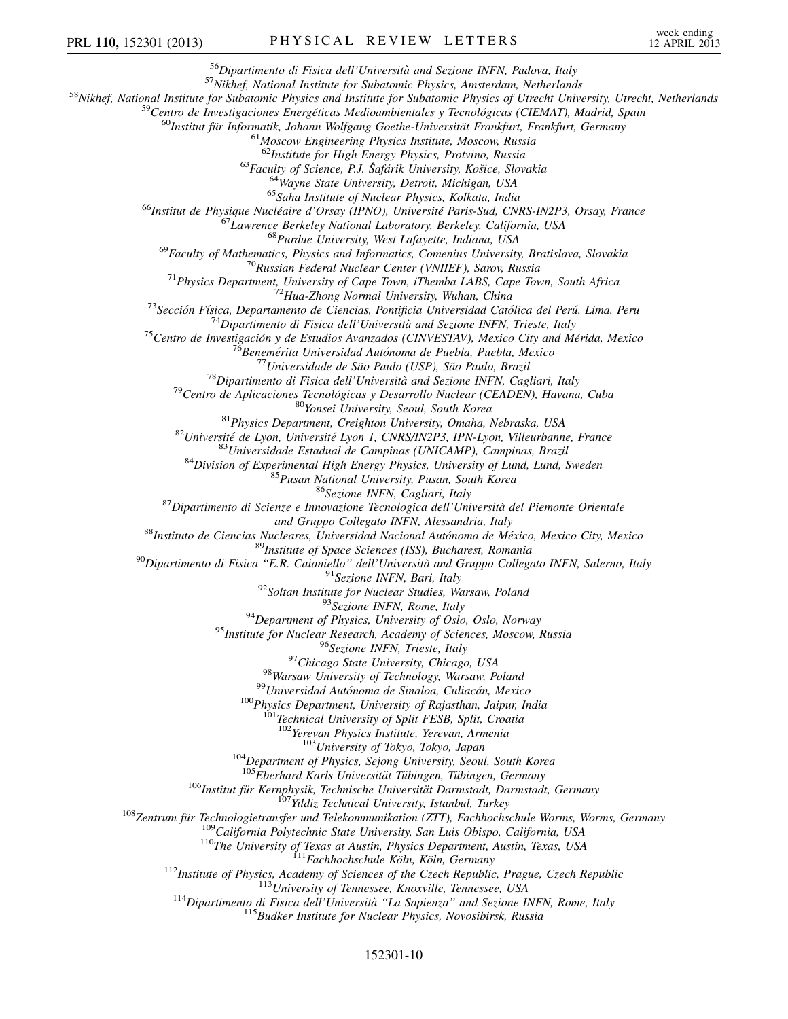<sup>56</sup>Dipartimento di Fisica dell'Università and Sezione INFN, Padova, Italy<br><sup>57</sup>Nikhef, National Institute for Subatomic Physics, Amsterdam, Netherlands<br><sup>58</sup>Nikhef, National Institute for Subatomic Physics and Institute fo <sup>63</sup>Institute for High Energy Physics, Provino, Russia<br>
<sup>63</sup>Institute for High Energy Physics, Provino, Russia<br>
<sup>63</sup>Institute of Science, P.J. Sigitrik University, Koikaca, India<br>
<sup>65</sup>Institut de Physique Medicaire d'Orsc and Gruppo Collegato INFN, Alessandria, Italy<br>
<sup>88</sup>Instituto de Ciencias Nucleares, Universidad Nacional Autónoma de México, Mexico City, Mexico<br>
<sup>90</sup>Dipartimento di Fisica "E.R. Caianiello" dell'Università and Gruppo Col <sup>101</sup>Technical University of Split FESB, Split, Croatia<br><sup>102</sup>Yerevan Physics Institute, Yerevan, Armenia<br><sup>103</sup>University of Tokyo, Tokyo, Japan<br><sup>104</sup>Department of Physics, Sejong University, Seoul, South Korea<br><sup>105</sup>Eberha <sup>106</sup>Institut für Kernphysik, Technische Universität Darmstadt, Darmstadt, Germany<br><sup>107</sup>Yildiz Technical University, Istanbul, Turkey<br><sup>108</sup>Zentrum für Technologietransfer und Telekommunikation (ZIT), Fachhochschule Worms,